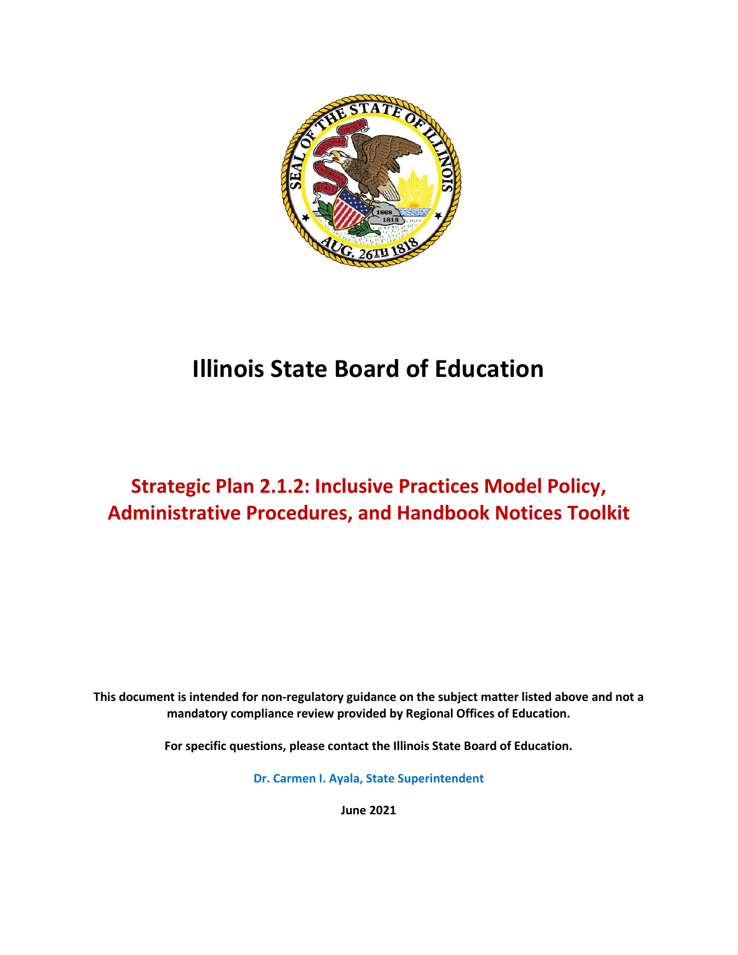

# **Illinois State Board of Education**

# **Strategic Plan 2.1.2: Inclusive Practices Model Policy, Administrative Procedures, and Handbook Notices Toolkit**

**This document is intended for non-regulatory guidance on the subject matter listed above and not a mandatory compliance review provided by Regional Offices of Education.**

**For specific questions, please contact the Illinois State Board of Education.**

**Dr. Carmen I. Ayala, State Superintendent**

**June 2021**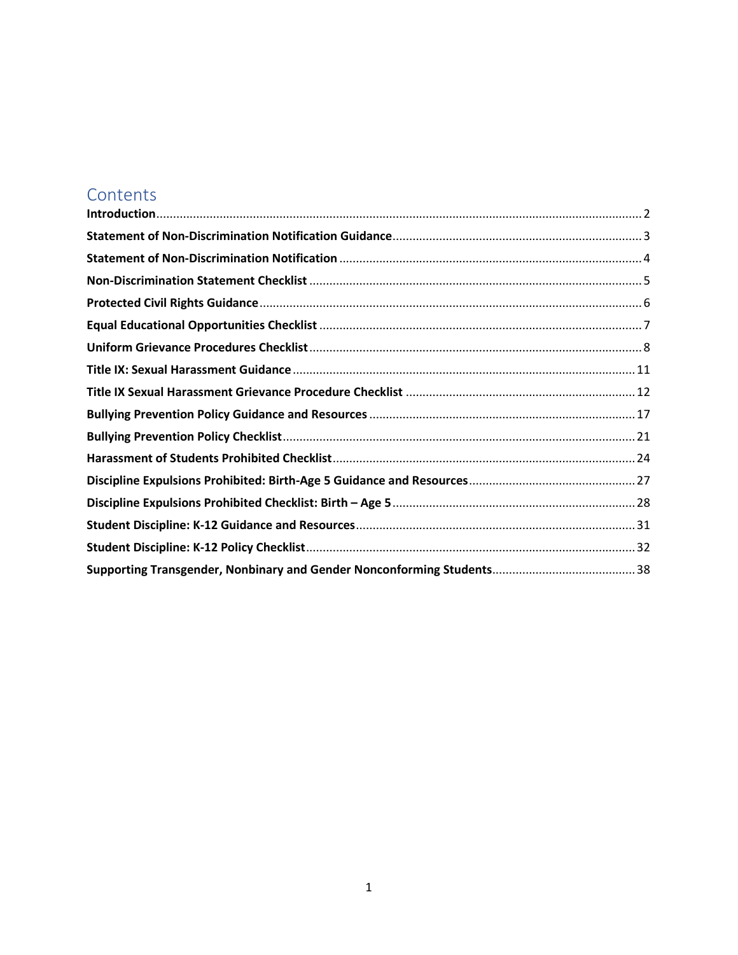## **Contents**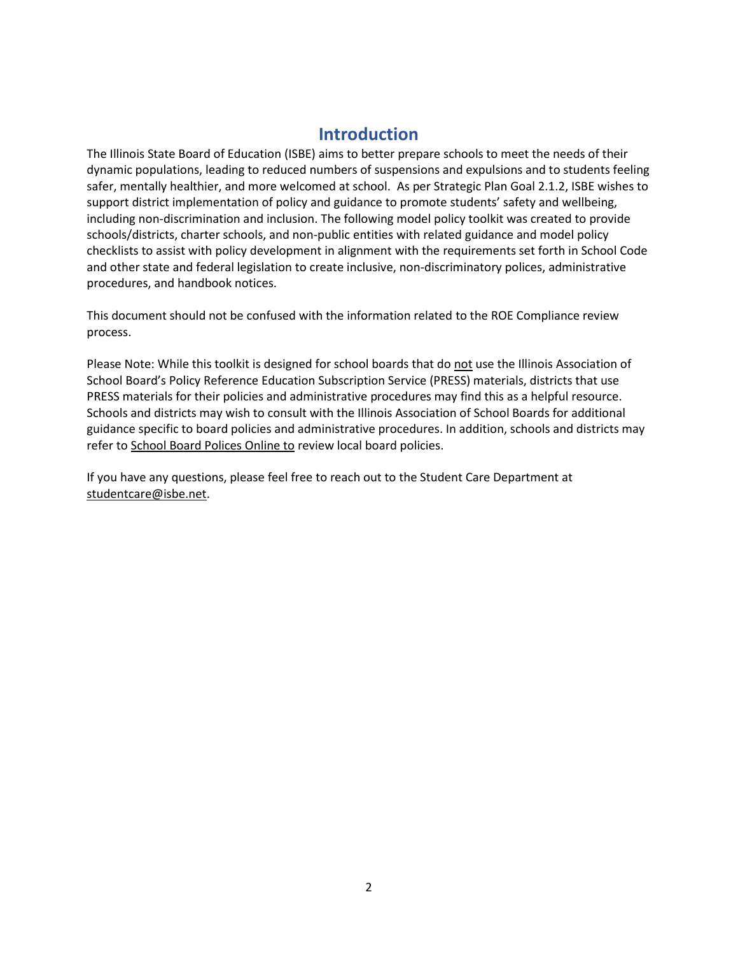### **Introduction**

<span id="page-2-0"></span>The Illinois State Board of Education (ISBE) aims to better prepare schools to meet the needs of their dynamic populations, leading to reduced numbers of suspensions and expulsions and to students feeling safer, mentally healthier, and more welcomed at school. As per Strategic Plan Goal 2.1.2, ISBE wishes to support district implementation of policy and guidance to promote students' safety and wellbeing, including non-discrimination and inclusion. The following model policy toolkit was created to provide schools/districts, charter schools, and non-public entities with related guidance and model policy checklists to assist with policy development in alignment with the requirements set forth in School Code and other state and federal legislation to create inclusive, non-discriminatory polices, administrative procedures, and handbook notices.

This document should not be confused with the information related to the ROE Compliance review process.

Please Note: While this toolkit is designed for school boards that do not use the Illinois Association of School Board's Policy Reference Education Subscription Service (PRESS) materials, districts that use PRESS materials for their policies and administrative procedures may find this as a helpful resource. Schools and districts may wish to consult with the Illinois Association of School Boards for additional guidance specific to board policies and administrative procedures. In addition, schools and districts may refer t[o School Board Polices Online to](https://www.iasb.com/policy-services-and-school-law/policy-services/school-board-policies-online/local-school-board-policies/) review local board policies.

If you have any questions, please feel free to reach out to the Student Care Department at [studentcare@isbe.net.](mailto:studentcare@isbe.net)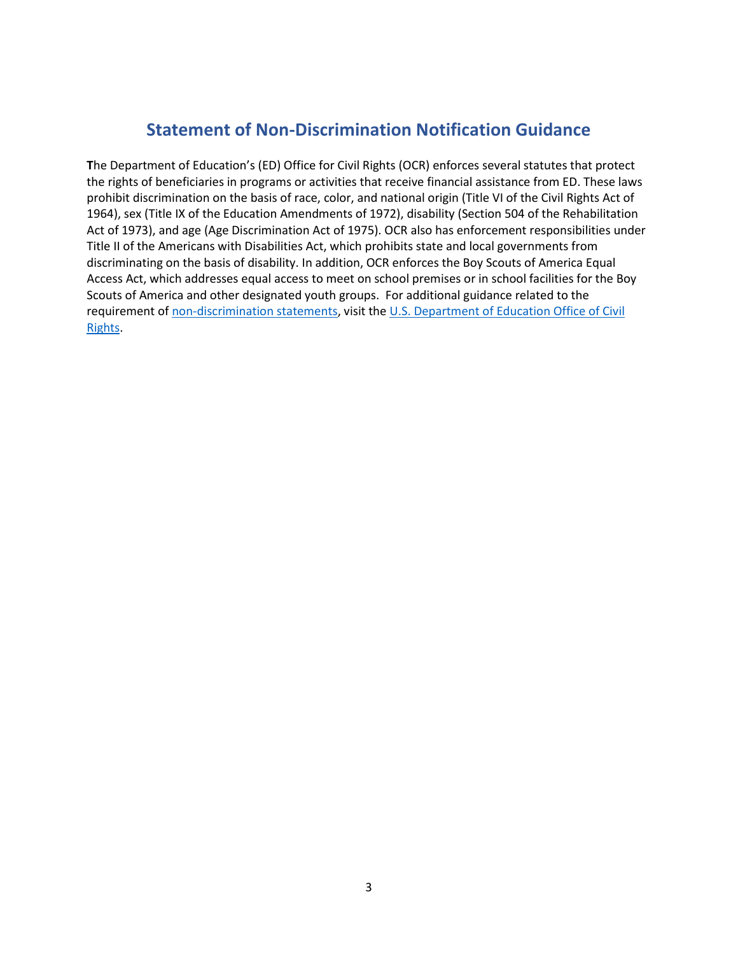### **Statement of Non-Discrimination Notification Guidance**

<span id="page-3-0"></span>**T**he Department of Education's (ED) Office for Civil Rights (OCR) enforces several statutes that protect the rights of beneficiaries in programs or activities that receive financial assistance from ED. These laws prohibit discrimination on the basis of race, color, and national origin (Title VI of the Civil Rights Act of 1964), sex (Title IX of the Education Amendments of 1972), disability (Section 504 of the Rehabilitation Act of 1973), and age (Age Discrimination Act of 1975). OCR also has enforcement responsibilities under Title II of the Americans with Disabilities Act, which prohibits state and local governments from discriminating on the basis of disability. In addition, OCR enforces the Boy Scouts of America Equal Access Act, which addresses equal access to meet on school premises or in school facilities for the Boy Scouts of America and other designated youth groups. For additional guidance related to the requirement o[f non-discrimination statements,](https://www2.ed.gov/about/offices/list/ocr/docs/nondisc.pdf) visit the [U.S. Department of Education Office of Civil](https://www2.ed.gov/about/offices/list/ocr/index.html)  [Rights.](https://www2.ed.gov/about/offices/list/ocr/index.html)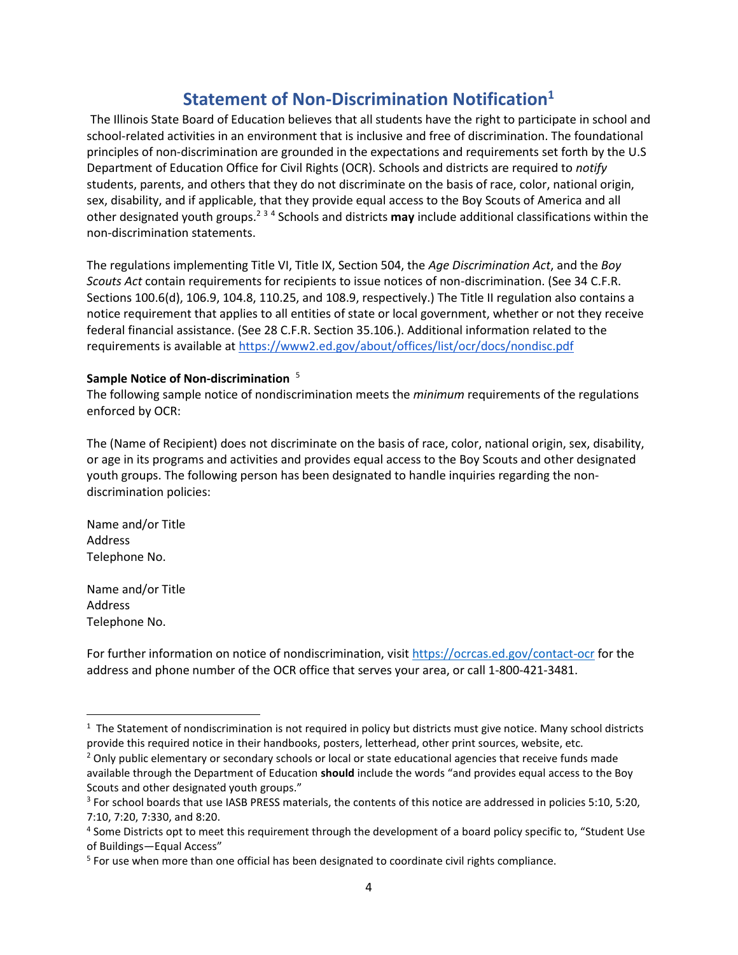### **Statement of Non-Discrimination Notification<sup>1</sup>**

<span id="page-4-0"></span>The Illinois State Board of Education believes that all students have the right to participate in school and school-related activities in an environment that is inclusive and free of discrimination. The foundational principles of non-discrimination are grounded in the expectations and requirements set forth by the U.S Department of Education Office for Civil Rights (OCR). Schools and districts are required to *notify*  students, parents, and others that they do not discriminate on the basis of race, color, national origin, sex, disability, and if applicable, that they provide equal access to the Boy Scouts of America and all other designated youth groups.<sup>234</sup> Schools and districts may include additional classifications within the non-discrimination statements.

The regulations implementing Title VI, Title IX, Section 504, the *Age Discrimination Act*, and the *Boy Scouts Act* contain requirements for recipients to issue notices of non-discrimination. (See 34 C.F.R. Sections 100.6(d), 106.9, 104.8, 110.25, and 108.9, respectively.) The Title II regulation also contains a notice requirement that applies to all entities of state or local government, whether or not they receive federal financial assistance. (See 28 C.F.R. Section 35.106.). Additional information related to the requirements is available at <https://www2.ed.gov/about/offices/list/ocr/docs/nondisc.pdf>

#### **Sample Notice of Non-discrimination** 5

The following sample notice of nondiscrimination meets the *minimum* requirements of the regulations enforced by OCR:

The (Name of Recipient) does not discriminate on the basis of race, color, national origin, sex, disability, or age in its programs and activities and provides equal access to the Boy Scouts and other designated youth groups. The following person has been designated to handle inquiries regarding the nondiscrimination policies:

Name and/or Title Address Telephone No.

Name and/or Title Address Telephone No.

For further information on notice of nondiscrimination, visit <https://ocrcas.ed.gov/contact-ocr> for the address and phone number of the OCR office that serves your area, or call 1-800-421-3481.

 $1$  The Statement of nondiscrimination is not required in policy but districts must give notice. Many school districts provide this required notice in their handbooks, posters, letterhead, other print sources, website, etc.

<sup>&</sup>lt;sup>2</sup> Only public elementary or secondary schools or local or state educational agencies that receive funds made available through the Department of Education **should** include the words "and provides equal access to the Boy Scouts and other designated youth groups."

<sup>&</sup>lt;sup>3</sup> For school boards that use IASB PRESS materials, the contents of this notice are addressed in policies 5:10, 5:20, 7:10, 7:20, 7:330, and 8:20.

<sup>4</sup> Some Districts opt to meet this requirement through the development of a board policy specific to, "Student Use of Buildings—Equal Access"

<sup>&</sup>lt;sup>5</sup> For use when more than one official has been designated to coordinate civil rights compliance.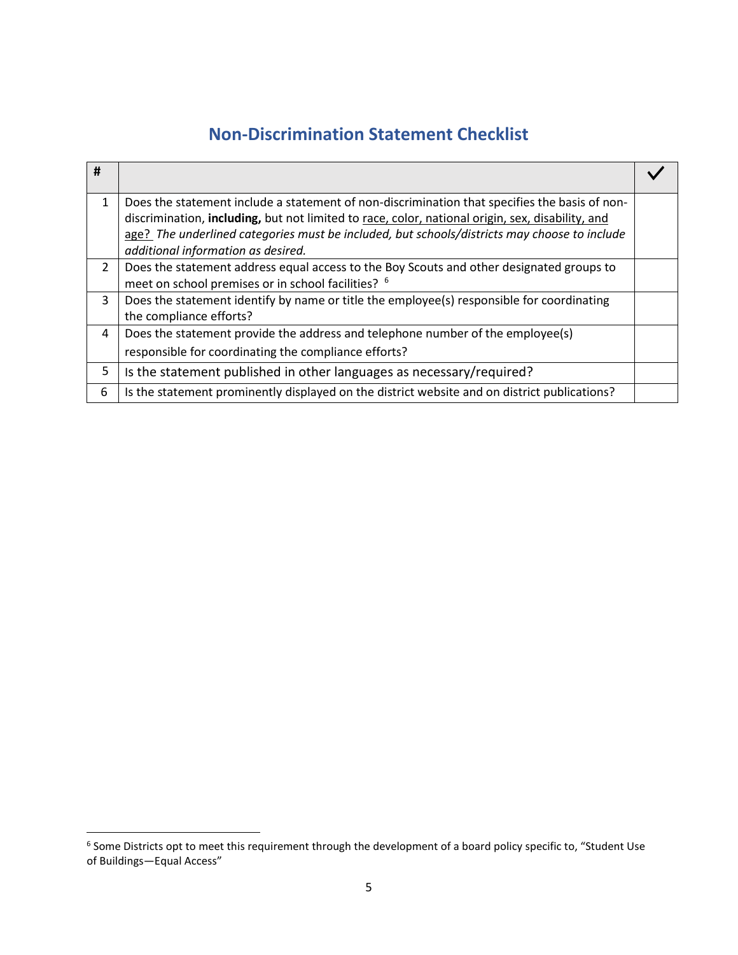# **Non-Discrimination Statement Checklist**

<span id="page-5-0"></span>

| #              |                                                                                                                                                                                                                                                                                                   |  |
|----------------|---------------------------------------------------------------------------------------------------------------------------------------------------------------------------------------------------------------------------------------------------------------------------------------------------|--|
| 1              | Does the statement include a statement of non-discrimination that specifies the basis of non-<br>discrimination, including, but not limited to race, color, national origin, sex, disability, and<br>age? The underlined categories must be included, but schools/districts may choose to include |  |
|                | additional information as desired.                                                                                                                                                                                                                                                                |  |
| $\overline{2}$ | Does the statement address equal access to the Boy Scouts and other designated groups to<br>meet on school premises or in school facilities? <sup>6</sup>                                                                                                                                         |  |
| 3              | Does the statement identify by name or title the employee(s) responsible for coordinating<br>the compliance efforts?                                                                                                                                                                              |  |
| 4              | Does the statement provide the address and telephone number of the employee(s)                                                                                                                                                                                                                    |  |
|                | responsible for coordinating the compliance efforts?                                                                                                                                                                                                                                              |  |
| 5              | Is the statement published in other languages as necessary/required?                                                                                                                                                                                                                              |  |
| 6              | Is the statement prominently displayed on the district website and on district publications?                                                                                                                                                                                                      |  |

<sup>&</sup>lt;sup>6</sup> Some Districts opt to meet this requirement through the development of a board policy specific to, "Student Use of Buildings—Equal Access"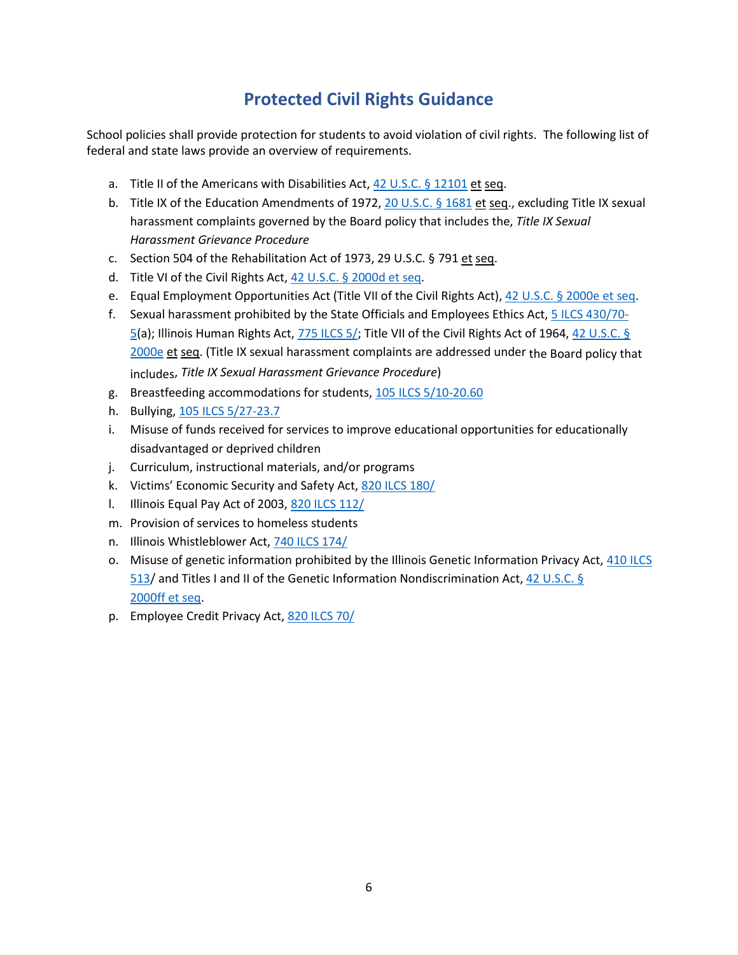## **Protected Civil Rights Guidance**

<span id="page-6-0"></span>School policies shall provide protection for students to avoid violation of civil rights. The following list of federal and state laws provide an overview of requirements.

- a. Title II of the Americans with Disabilities Act, [42 U.S.C. §](https://www.govinfo.gov/app/details/USCODE-2017-title42/USCODE-2017-title42-chap126-sec12101) 12101 et seq.
- b. Title IX of the Education Amendments of 1972, [20 U.S.C. §](https://www.govinfo.gov/app/details/USCODE-2017-title20/USCODE-2017-title20-chap38-sec1681) 1681 et seq., excluding Title IX sexual harassment complaints governed by the Board policy that includes the, *Title IX Sexual Harassment Grievance Procedure*
- c. Section 504 of the Rehabilitation Act of 1973, 29 U.S.C. § 791 et seq.
- d. Title VI of the Civil Rights Act, [42 U.S.C. §](https://www.govinfo.gov/app/details/USCODE-2017-title42/USCODE-2017-title42-chap21-subchapV-sec2000d) 2000d et seq.
- e. Equal Employment Opportunities Act (Title VII of the Civil Rights Act), 42 [U.S.C. §](https://www.govinfo.gov/app/details/USCODE-2017-title42/USCODE-2017-title42-chap21-subchapVI-sec2000e&collectionCode=USCODE) 2000e et seq.
- f. Sexual harassment prohibited by the State Officials and Employees Ethics Act, [5 ILCS 430/70-](https://www.ilga.gov/legislation/ilcs/ilcs4.asp?DocName=000504300HArt%2E+70&ActID=2529&ChapterID=2&SeqStart=8400000&SeqEnd=8900000) [5\(](https://www.ilga.gov/legislation/ilcs/ilcs4.asp?DocName=000504300HArt%2E+70&ActID=2529&ChapterID=2&SeqStart=8400000&SeqEnd=8900000)a); Illinois Human Rights Act, [775 ILCS 5/;](https://www.ilga.gov/legislation/ilcs/ilcs5.asp?ActID=2266&ChapterID=64) Title VII of the Civil Rights Act of 1964, [42 U.S.C. §](https://www.govinfo.gov/app/details/USCODE-2017-title42/USCODE-2017-title42-chap21-subchapVI-sec2000e&collectionCode=USCODE) [2000e](https://www.govinfo.gov/app/details/USCODE-2017-title42/USCODE-2017-title42-chap21-subchapVI-sec2000e&collectionCode=USCODE) et seq. (Title IX sexual harassment complaints are addressed under the Board policy that includes, *Title IX Sexual Harassment Grievance Procedure*)
- g. Breastfeeding accommodations for students, [105 ILCS 5/10-20.60](http://www.ilga.gov/legislation/ilcs/ilcs4.asp?DocName=010500050HArt%2E+10&ActID=1005&ChapterID=17&SeqStart=61700000&SeqEnd=86600000)
- h. Bullying, [105 ILCS 5/27-23.7](http://www.ilga.gov/legislation/ilcs/ilcs4.asp?DocName=010500050HArt%2E+27&ActID=1005&ChapterID=17&SeqStart=165400000&SeqEnd=173100000)
- i. Misuse of funds received for services to improve educational opportunities for educationally disadvantaged or deprived children
- j. Curriculum, instructional materials, and/or programs
- k. Victims' Economic Security and Safety Act, [820 ILCS 180/](http://www.ilga.gov/legislation/ilcs/ilcs3.asp?ActID=2502&ChapterID=68)
- l. Illinois Equal Pay Act of 2003, [820 ILCS 112/](http://www.ilga.gov/legislation/ilcs/ilcs3.asp?ActID=2502&ChapterID=68)
- m. Provision of services to homeless students
- n. Illinois Whistleblower Act, [740 ILCS 174/](http://www.ilga.gov/legislation/ilcs/ilcs3.asp?ActID=2495&ChapterID=57)
- o. Misuse of genetic information prohibited by the Illinois Genetic Information Privacy Act, [410 ILCS](http://www.ilga.gov/legislation/ilcs/ilcs3.asp?ActID=1567&ChapterID=35)  [513/](http://www.ilga.gov/legislation/ilcs/ilcs3.asp?ActID=1567&ChapterID=35) and Titles I and II of the Genetic Information Nondiscrimination Act, [42 U.S.C. §](https://www.govinfo.gov/app/details/USCODE-2017-title42/USCODE-2017-title42-chap21F-sec2000ff) [2000ff](https://www.govinfo.gov/app/details/USCODE-2017-title42/USCODE-2017-title42-chap21F-sec2000ff) et seq.
- p. Employee Credit Privacy Act, [820 ILCS 70/](http://www.ilga.gov/legislation/ilcs/ilcs3.asp?ActID=3277&ChapterID=68)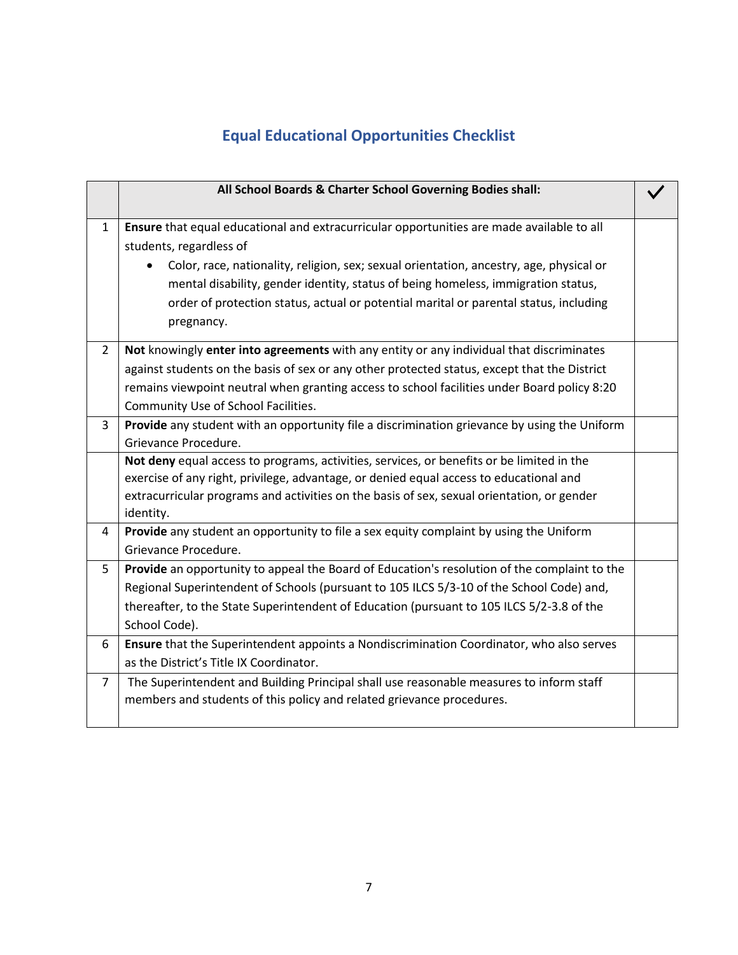# **Equal Educational Opportunities Checklist**

<span id="page-7-0"></span>

|                | All School Boards & Charter School Governing Bodies shall:                                                                                                                                                                                                            |  |
|----------------|-----------------------------------------------------------------------------------------------------------------------------------------------------------------------------------------------------------------------------------------------------------------------|--|
| $\mathbf{1}$   | Ensure that equal educational and extracurricular opportunities are made available to all<br>students, regardless of                                                                                                                                                  |  |
|                | Color, race, nationality, religion, sex; sexual orientation, ancestry, age, physical or<br>mental disability, gender identity, status of being homeless, immigration status,<br>order of protection status, actual or potential marital or parental status, including |  |
|                | pregnancy.                                                                                                                                                                                                                                                            |  |
| $\overline{2}$ | Not knowingly enter into agreements with any entity or any individual that discriminates                                                                                                                                                                              |  |
|                | against students on the basis of sex or any other protected status, except that the District                                                                                                                                                                          |  |
|                | remains viewpoint neutral when granting access to school facilities under Board policy 8:20                                                                                                                                                                           |  |
|                | Community Use of School Facilities.                                                                                                                                                                                                                                   |  |
| 3              | Provide any student with an opportunity file a discrimination grievance by using the Uniform                                                                                                                                                                          |  |
|                | Grievance Procedure.                                                                                                                                                                                                                                                  |  |
|                | Not deny equal access to programs, activities, services, or benefits or be limited in the                                                                                                                                                                             |  |
|                | exercise of any right, privilege, advantage, or denied equal access to educational and                                                                                                                                                                                |  |
|                | extracurricular programs and activities on the basis of sex, sexual orientation, or gender<br>identity.                                                                                                                                                               |  |
| 4              | Provide any student an opportunity to file a sex equity complaint by using the Uniform<br>Grievance Procedure.                                                                                                                                                        |  |
| 5              | Provide an opportunity to appeal the Board of Education's resolution of the complaint to the                                                                                                                                                                          |  |
|                | Regional Superintendent of Schools (pursuant to 105 ILCS 5/3-10 of the School Code) and,                                                                                                                                                                              |  |
|                | thereafter, to the State Superintendent of Education (pursuant to 105 ILCS 5/2-3.8 of the                                                                                                                                                                             |  |
|                | School Code).                                                                                                                                                                                                                                                         |  |
| 6              | Ensure that the Superintendent appoints a Nondiscrimination Coordinator, who also serves                                                                                                                                                                              |  |
|                | as the District's Title IX Coordinator.                                                                                                                                                                                                                               |  |
| $\overline{7}$ | The Superintendent and Building Principal shall use reasonable measures to inform staff<br>members and students of this policy and related grievance procedures.                                                                                                      |  |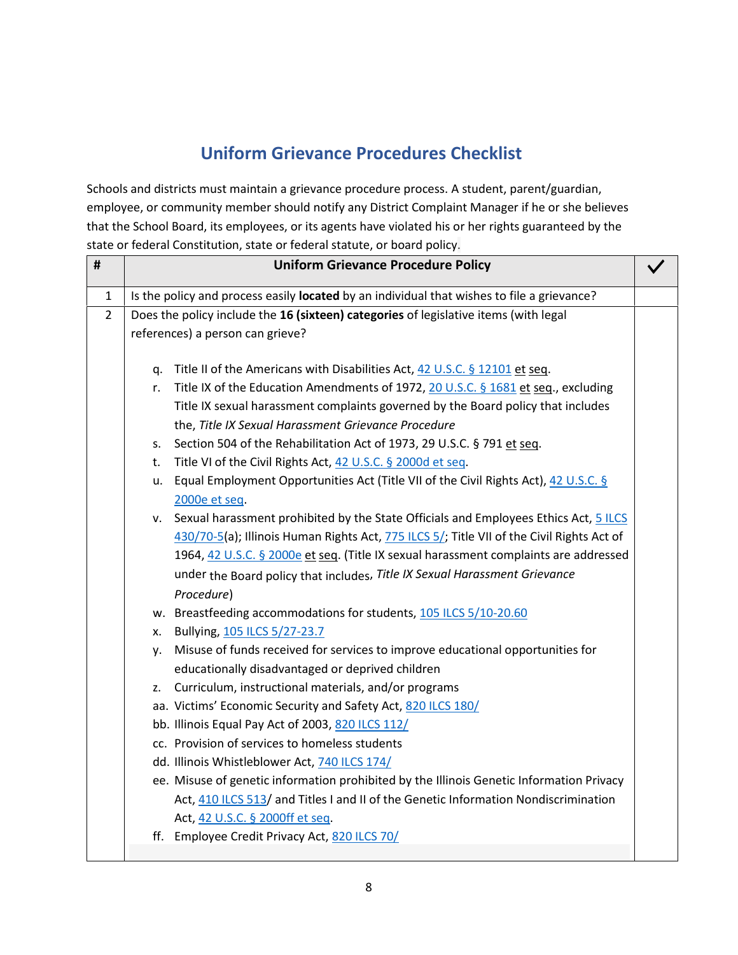# **Uniform Grievance Procedures Checklist**

<span id="page-8-0"></span>Schools and districts must maintain a grievance procedure process. A student, parent/guardian, employee, or community member should notify any District Complaint Manager if he or she believes that the School Board, its employees, or its agents have violated his or her rights guaranteed by the state or federal Constitution, state or federal statute, or board policy.

| $\#$           |    | <b>Uniform Grievance Procedure Policy</b>                                                               |  |
|----------------|----|---------------------------------------------------------------------------------------------------------|--|
| $\mathbf{1}$   |    | Is the policy and process easily located by an individual that wishes to file a grievance?              |  |
| $\overline{2}$ |    | Does the policy include the 16 (sixteen) categories of legislative items (with legal                    |  |
|                |    | references) a person can grieve?                                                                        |  |
|                | q. | Title II of the Americans with Disabilities Act, 42 U.S.C. § 12101 et seq.                              |  |
|                | r. | Title IX of the Education Amendments of 1972, 20 U.S.C. § 1681 et seq., excluding                       |  |
|                |    | Title IX sexual harassment complaints governed by the Board policy that includes                        |  |
|                |    | the, Title IX Sexual Harassment Grievance Procedure                                                     |  |
|                | S. | Section 504 of the Rehabilitation Act of 1973, 29 U.S.C. § 791 et seq.                                  |  |
|                | t. | Title VI of the Civil Rights Act, 42 U.S.C. § 2000d et seq.                                             |  |
|                |    | u. Equal Employment Opportunities Act (Title VII of the Civil Rights Act), 42 U.S.C. §<br>2000e et seq. |  |
|                | v. | Sexual harassment prohibited by the State Officials and Employees Ethics Act, 5 ILCS                    |  |
|                |    | 430/70-5(a); Illinois Human Rights Act, 775 ILCS 5/; Title VII of the Civil Rights Act of               |  |
|                |    | 1964, 42 U.S.C. § 2000e et seq. (Title IX sexual harassment complaints are addressed                    |  |
|                |    | under the Board policy that includes, Title IX Sexual Harassment Grievance                              |  |
|                |    | Procedure)                                                                                              |  |
|                |    | w. Breastfeeding accommodations for students, 105 ILCS 5/10-20.60                                       |  |
|                |    | x. Bullying, 105 ILCS 5/27-23.7                                                                         |  |
|                | у. | Misuse of funds received for services to improve educational opportunities for                          |  |
|                |    | educationally disadvantaged or deprived children                                                        |  |
|                | z. | Curriculum, instructional materials, and/or programs                                                    |  |
|                |    | aa. Victims' Economic Security and Safety Act, 820 ILCS 180/                                            |  |
|                |    | bb. Illinois Equal Pay Act of 2003, 820 ILCS 112/                                                       |  |
|                |    | cc. Provision of services to homeless students                                                          |  |
|                |    | dd. Illinois Whistleblower Act, 740 ILCS 174/                                                           |  |
|                |    | ee. Misuse of genetic information prohibited by the Illinois Genetic Information Privacy                |  |
|                |    | Act, 410 ILCS 513/ and Titles I and II of the Genetic Information Nondiscrimination                     |  |
|                |    | Act, 42 U.S.C. § 2000ff et seq.                                                                         |  |
|                |    | ff. Employee Credit Privacy Act, 820 ILCS 70/                                                           |  |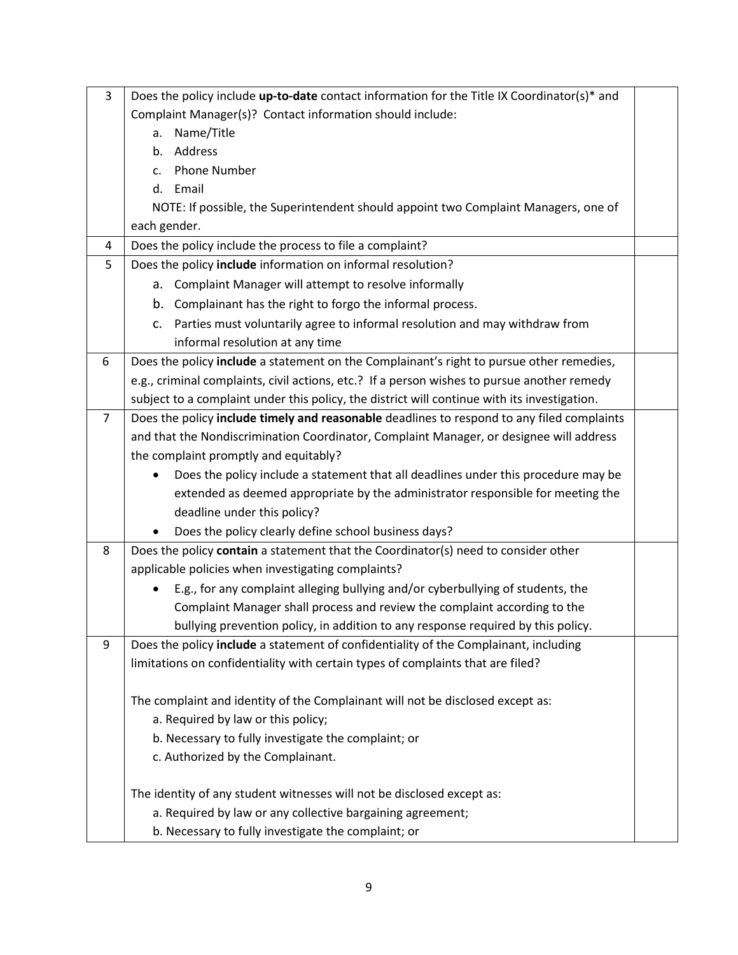| 3              | Does the policy include up-to-date contact information for the Title IX Coordinator(s)* and  |  |
|----------------|----------------------------------------------------------------------------------------------|--|
|                | Complaint Manager(s)? Contact information should include:                                    |  |
|                | Name/Title<br>a.                                                                             |  |
|                | b. Address                                                                                   |  |
|                | <b>Phone Number</b><br>$\mathsf{C}$ .                                                        |  |
|                | d. Email                                                                                     |  |
|                | NOTE: If possible, the Superintendent should appoint two Complaint Managers, one of          |  |
|                | each gender.                                                                                 |  |
| 4              | Does the policy include the process to file a complaint?                                     |  |
| 5              | Does the policy include information on informal resolution?                                  |  |
|                | a. Complaint Manager will attempt to resolve informally                                      |  |
|                | b. Complainant has the right to forgo the informal process.                                  |  |
|                | c. Parties must voluntarily agree to informal resolution and may withdraw from               |  |
|                | informal resolution at any time                                                              |  |
| 6              | Does the policy include a statement on the Complainant's right to pursue other remedies,     |  |
|                | e.g., criminal complaints, civil actions, etc.? If a person wishes to pursue another remedy  |  |
|                | subject to a complaint under this policy, the district will continue with its investigation. |  |
| $\overline{7}$ | Does the policy include timely and reasonable deadlines to respond to any filed complaints   |  |
|                | and that the Nondiscrimination Coordinator, Complaint Manager, or designee will address      |  |
|                | the complaint promptly and equitably?                                                        |  |
|                | Does the policy include a statement that all deadlines under this procedure may be           |  |
|                | extended as deemed appropriate by the administrator responsible for meeting the              |  |
|                | deadline under this policy?                                                                  |  |
|                | Does the policy clearly define school business days?                                         |  |
| 8              | Does the policy contain a statement that the Coordinator(s) need to consider other           |  |
|                | applicable policies when investigating complaints?                                           |  |
|                | E.g., for any complaint alleging bullying and/or cyberbullying of students, the              |  |
|                | Complaint Manager shall process and review the complaint according to the                    |  |
|                | bullying prevention policy, in addition to any response required by this policy.             |  |
| 9              | Does the policy include a statement of confidentiality of the Complainant, including         |  |
|                | limitations on confidentiality with certain types of complaints that are filed?              |  |
|                |                                                                                              |  |
|                | The complaint and identity of the Complainant will not be disclosed except as:               |  |
|                | a. Required by law or this policy;                                                           |  |
|                | b. Necessary to fully investigate the complaint; or                                          |  |
|                | c. Authorized by the Complainant.                                                            |  |
|                | The identity of any student witnesses will not be disclosed except as:                       |  |
|                | a. Required by law or any collective bargaining agreement;                                   |  |
|                | b. Necessary to fully investigate the complaint; or                                          |  |
|                |                                                                                              |  |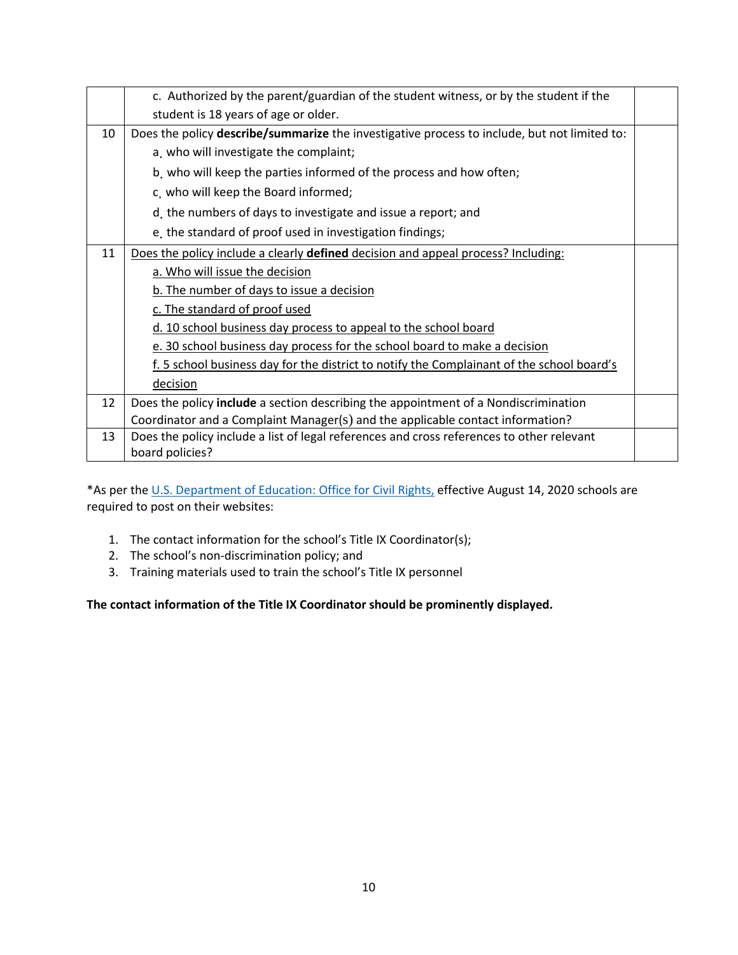|    | c. Authorized by the parent/guardian of the student witness, or by the student if the        |  |
|----|----------------------------------------------------------------------------------------------|--|
|    | student is 18 years of age or older.                                                         |  |
| 10 | Does the policy describe/summarize the investigative process to include, but not limited to: |  |
|    | a. who will investigate the complaint;                                                       |  |
|    | b who will keep the parties informed of the process and how often;                           |  |
|    | c. who will keep the Board informed;                                                         |  |
|    | d. the numbers of days to investigate and issue a report; and                                |  |
|    | e, the standard of proof used in investigation findings;                                     |  |
| 11 | Does the policy include a clearly defined decision and appeal process? Including:            |  |
|    | a. Who will issue the decision                                                               |  |
|    | b. The number of days to issue a decision                                                    |  |
|    | c. The standard of proof used                                                                |  |
|    | d. 10 school business day process to appeal to the school board                              |  |
|    | e. 30 school business day process for the school board to make a decision                    |  |
|    | f. 5 school business day for the district to notify the Complainant of the school board's    |  |
|    | decision                                                                                     |  |
| 12 | Does the policy include a section describing the appointment of a Nondiscrimination          |  |
|    | Coordinator and a Complaint Manager(s) and the applicable contact information?               |  |
| 13 | Does the policy include a list of legal references and cross references to other relevant    |  |
|    | board policies?                                                                              |  |

\*As per th[e U.S. Department of Education: Office for](https://www2.ed.gov/about/offices/list/ocr/blog/20200518.html) Civil Rights, effective August 14, 2020 schools are required to post on their websites:

- 1. The contact information for the school's Title IX Coordinator(s);
- 2. The school's non-discrimination policy; and
- 3. Training materials used to train the school's Title IX personnel

**The contact information of the Title IX Coordinator should be prominently displayed.**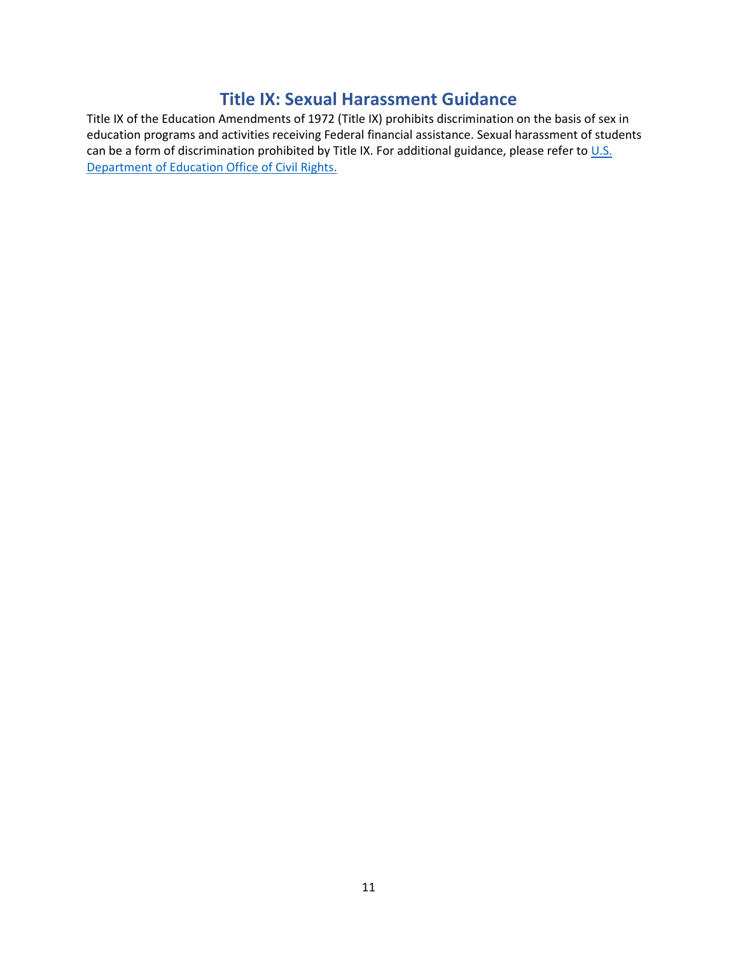### **Title IX: Sexual Harassment Guidance**

<span id="page-11-0"></span>Title IX of the Education Amendments of 1972 (Title IX) prohibits discrimination on the basis of sex in education programs and activities receiving Federal financial assistance. Sexual harassment of students can be a form of discrimination prohibited by Title IX. For additional guidance, please refer to  $\underline{\mathsf{U.S.}}$ [Department of Education Office of Civil Rights.](https://www2.ed.gov/about/offices/list/ocr/docs/sexhar00.html)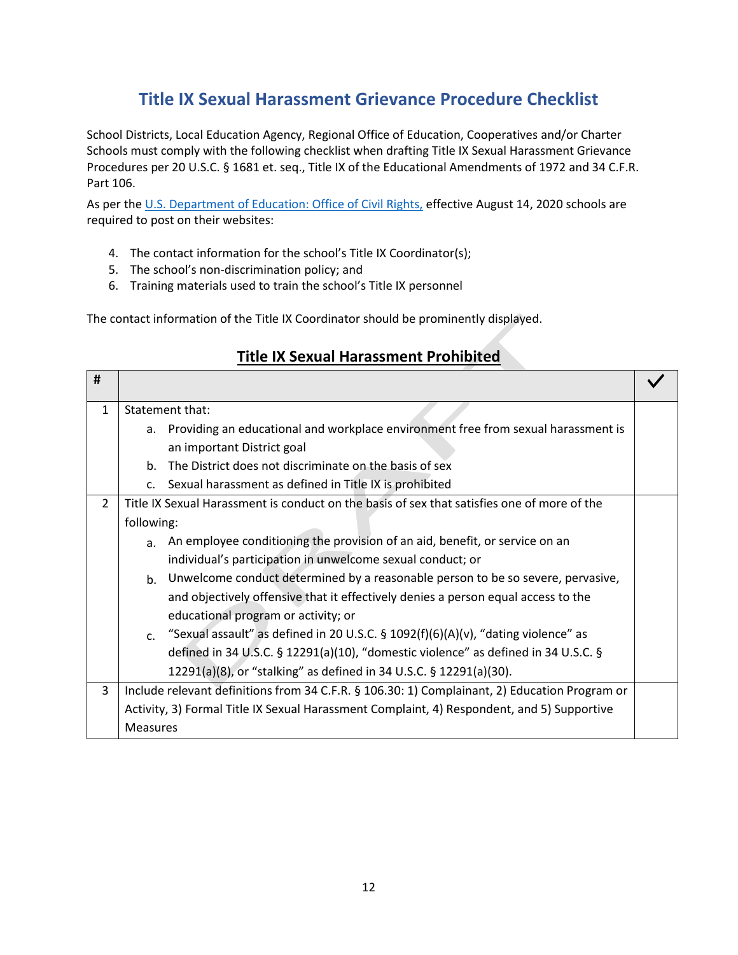# **Title IX Sexual Harassment Grievance Procedure Checklist**

<span id="page-12-0"></span>School Districts, Local Education Agency, Regional Office of Education, Cooperatives and/or Charter Schools must comply with the following checklist when drafting Title IX Sexual Harassment Grievance Procedures per 20 U.S.C. § 1681 et. seq., Title IX of the Educational Amendments of 1972 and 34 C.F.R. Part 106.

As per the [U.S. Department of Education: Office of Civil Rights,](https://www2.ed.gov/about/offices/list/ocr/blog/20200518.html) effective August 14, 2020 schools are required to post on their websites:

- 4. The contact information for the school's Title IX Coordinator(s);
- 5. The school's non-discrimination policy; and
- 6. Training materials used to train the school's Title IX personnel

The contact information of the Title IX Coordinator should be prominently displayed.

|                |                 | <b>THE IN SCAUGHT OF ASSILICTLY LOTTING CO</b>                                                |  |
|----------------|-----------------|-----------------------------------------------------------------------------------------------|--|
| #              |                 |                                                                                               |  |
| $\mathbf{1}$   |                 | Statement that:                                                                               |  |
|                | a.              | Providing an educational and workplace environment free from sexual harassment is             |  |
|                |                 | an important District goal                                                                    |  |
|                | b.              | The District does not discriminate on the basis of sex                                        |  |
|                | c.              | Sexual harassment as defined in Title IX is prohibited                                        |  |
| $\overline{2}$ |                 | Title IX Sexual Harassment is conduct on the basis of sex that satisfies one of more of the   |  |
|                | following:      |                                                                                               |  |
|                | a.              | An employee conditioning the provision of an aid, benefit, or service on an                   |  |
|                |                 | individual's participation in unwelcome sexual conduct; or                                    |  |
|                | $b_{-}$         | Unwelcome conduct determined by a reasonable person to be so severe, pervasive,               |  |
|                |                 | and objectively offensive that it effectively denies a person equal access to the             |  |
|                |                 | educational program or activity; or                                                           |  |
|                | C <sub>1</sub>  | "Sexual assault" as defined in 20 U.S.C. $\S$ 1092(f)(6)(A)(v), "dating violence" as          |  |
|                |                 | defined in 34 U.S.C. § 12291(a)(10), "domestic violence" as defined in 34 U.S.C. §            |  |
|                |                 | 12291(a)(8), or "stalking" as defined in 34 U.S.C. § 12291(a)(30).                            |  |
| 3              |                 | Include relevant definitions from 34 C.F.R. § 106.30: 1) Complainant, 2) Education Program or |  |
|                |                 | Activity, 3) Formal Title IX Sexual Harassment Complaint, 4) Respondent, and 5) Supportive    |  |
|                | <b>Measures</b> |                                                                                               |  |

### **Title IX Sexual Harassment Prohibited**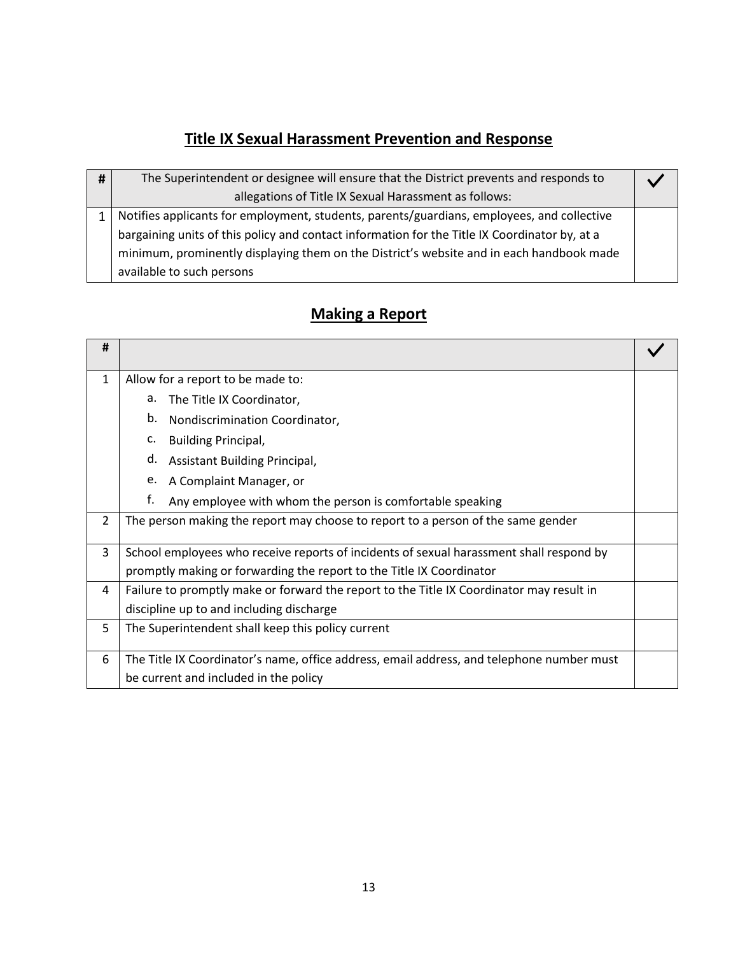# **Title IX Sexual Harassment Prevention and Response**

| # | The Superintendent or designee will ensure that the District prevents and responds to         |  |
|---|-----------------------------------------------------------------------------------------------|--|
|   | allegations of Title IX Sexual Harassment as follows:                                         |  |
|   | Notifies applicants for employment, students, parents/guardians, employees, and collective    |  |
|   | bargaining units of this policy and contact information for the Title IX Coordinator by, at a |  |
|   | minimum, prominently displaying them on the District's website and in each handbook made      |  |
|   | available to such persons                                                                     |  |

# **Making a Report**

| #              |                                                                                           |  |
|----------------|-------------------------------------------------------------------------------------------|--|
| 1              | Allow for a report to be made to:                                                         |  |
|                | The Title IX Coordinator,<br>а.                                                           |  |
|                | b.<br>Nondiscrimination Coordinator,                                                      |  |
|                | c.<br><b>Building Principal,</b>                                                          |  |
|                | d.<br>Assistant Building Principal,                                                       |  |
|                | e.<br>A Complaint Manager, or                                                             |  |
|                | f.<br>Any employee with whom the person is comfortable speaking                           |  |
| $\overline{2}$ | The person making the report may choose to report to a person of the same gender          |  |
| 3              | School employees who receive reports of incidents of sexual harassment shall respond by   |  |
|                | promptly making or forwarding the report to the Title IX Coordinator                      |  |
| 4              | Failure to promptly make or forward the report to the Title IX Coordinator may result in  |  |
|                | discipline up to and including discharge                                                  |  |
| 5              | The Superintendent shall keep this policy current                                         |  |
|                |                                                                                           |  |
| 6              | The Title IX Coordinator's name, office address, email address, and telephone number must |  |
|                | be current and included in the policy                                                     |  |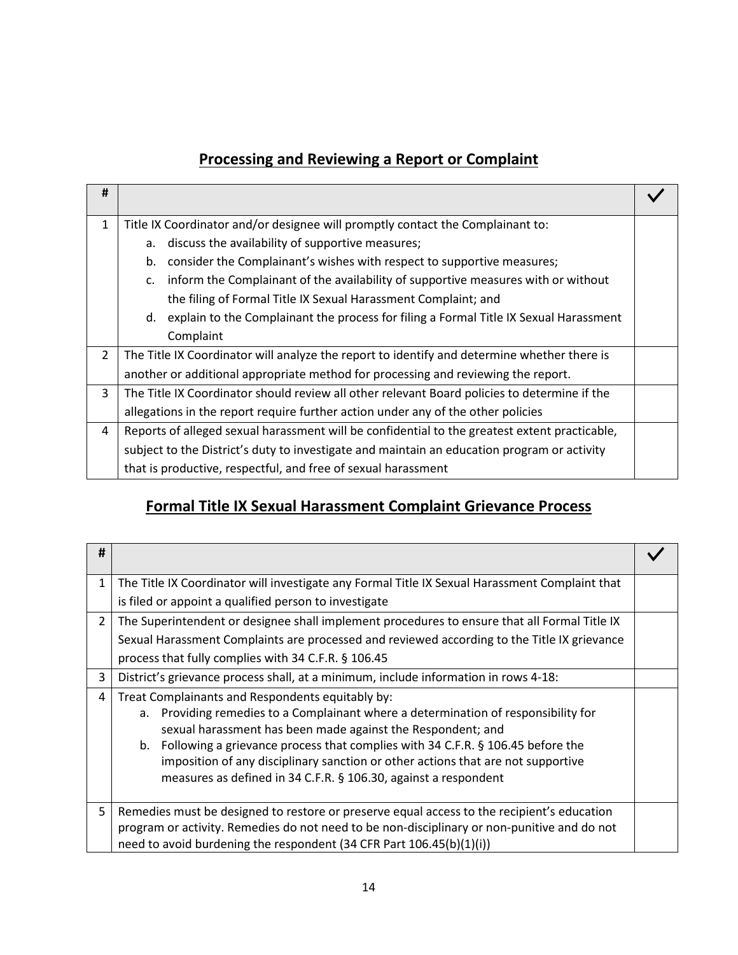### **Processing and Reviewing a Report or Complaint**

| #            |                                                                                                     |  |
|--------------|-----------------------------------------------------------------------------------------------------|--|
| $\mathbf{1}$ | Title IX Coordinator and/or designee will promptly contact the Complainant to:                      |  |
|              | discuss the availability of supportive measures;<br>а.                                              |  |
|              | consider the Complainant's wishes with respect to supportive measures;<br>b.                        |  |
|              | inform the Complainant of the availability of supportive measures with or without<br>$\mathsf{C}$ . |  |
|              | the filing of Formal Title IX Sexual Harassment Complaint; and                                      |  |
|              | explain to the Complainant the process for filing a Formal Title IX Sexual Harassment<br>d.         |  |
|              | Complaint                                                                                           |  |
| 2            | The Title IX Coordinator will analyze the report to identify and determine whether there is         |  |
|              | another or additional appropriate method for processing and reviewing the report.                   |  |
| 3            | The Title IX Coordinator should review all other relevant Board policies to determine if the        |  |
|              | allegations in the report require further action under any of the other policies                    |  |
| 4            | Reports of alleged sexual harassment will be confidential to the greatest extent practicable,       |  |
|              | subject to the District's duty to investigate and maintain an education program or activity         |  |
|              | that is productive, respectful, and free of sexual harassment                                       |  |

### **Formal Title IX Sexual Harassment Complaint Grievance Process**

| #              |                                                                                                |  |
|----------------|------------------------------------------------------------------------------------------------|--|
| $\mathbf{1}$   | The Title IX Coordinator will investigate any Formal Title IX Sexual Harassment Complaint that |  |
|                | is filed or appoint a qualified person to investigate                                          |  |
| $\overline{2}$ | The Superintendent or designee shall implement procedures to ensure that all Formal Title IX   |  |
|                | Sexual Harassment Complaints are processed and reviewed according to the Title IX grievance    |  |
|                | process that fully complies with 34 C.F.R. § 106.45                                            |  |
| 3              | District's grievance process shall, at a minimum, include information in rows 4-18:            |  |
| 4              | Treat Complainants and Respondents equitably by:                                               |  |
|                | Providing remedies to a Complainant where a determination of responsibility for<br>a.          |  |
|                | sexual harassment has been made against the Respondent; and                                    |  |
|                | b. Following a grievance process that complies with 34 C.F.R. § 106.45 before the              |  |
|                | imposition of any disciplinary sanction or other actions that are not supportive               |  |
|                | measures as defined in 34 C.F.R. § 106.30, against a respondent                                |  |
|                |                                                                                                |  |
| 5              | Remedies must be designed to restore or preserve equal access to the recipient's education     |  |
|                | program or activity. Remedies do not need to be non-disciplinary or non-punitive and do not    |  |
|                | need to avoid burdening the respondent (34 CFR Part 106.45(b)(1)(i))                           |  |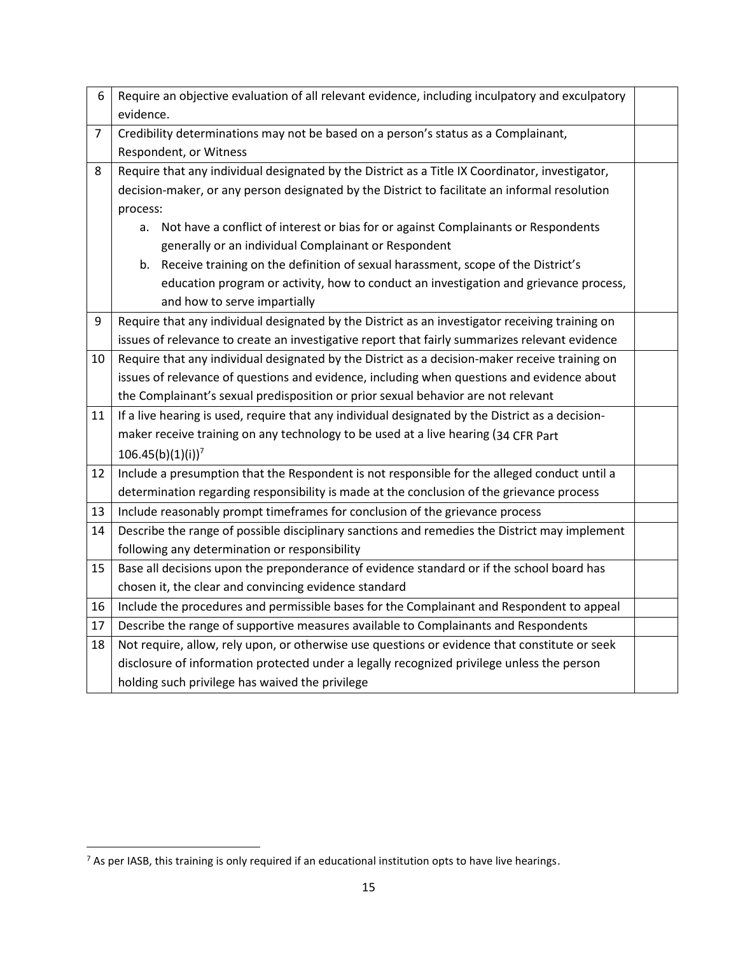| 6              | Require an objective evaluation of all relevant evidence, including inculpatory and exculpatory  |  |
|----------------|--------------------------------------------------------------------------------------------------|--|
|                | evidence.                                                                                        |  |
| $\overline{7}$ | Credibility determinations may not be based on a person's status as a Complainant,               |  |
|                | Respondent, or Witness                                                                           |  |
| 8              | Require that any individual designated by the District as a Title IX Coordinator, investigator,  |  |
|                | decision-maker, or any person designated by the District to facilitate an informal resolution    |  |
|                | process:                                                                                         |  |
|                | Not have a conflict of interest or bias for or against Complainants or Respondents<br>a.         |  |
|                | generally or an individual Complainant or Respondent                                             |  |
|                | b. Receive training on the definition of sexual harassment, scope of the District's              |  |
|                | education program or activity, how to conduct an investigation and grievance process,            |  |
|                | and how to serve impartially                                                                     |  |
| 9              | Require that any individual designated by the District as an investigator receiving training on  |  |
|                | issues of relevance to create an investigative report that fairly summarizes relevant evidence   |  |
| 10             | Require that any individual designated by the District as a decision-maker receive training on   |  |
|                | issues of relevance of questions and evidence, including when questions and evidence about       |  |
|                | the Complainant's sexual predisposition or prior sexual behavior are not relevant                |  |
| 11             | If a live hearing is used, require that any individual designated by the District as a decision- |  |
|                | maker receive training on any technology to be used at a live hearing (34 CFR Part               |  |
|                | $106.45(b)(1)(i))^{7}$                                                                           |  |
| 12             | Include a presumption that the Respondent is not responsible for the alleged conduct until a     |  |
|                | determination regarding responsibility is made at the conclusion of the grievance process        |  |
| 13             | Include reasonably prompt timeframes for conclusion of the grievance process                     |  |
| 14             | Describe the range of possible disciplinary sanctions and remedies the District may implement    |  |
|                | following any determination or responsibility                                                    |  |
| 15             | Base all decisions upon the preponderance of evidence standard or if the school board has        |  |
|                | chosen it, the clear and convincing evidence standard                                            |  |
| 16             | Include the procedures and permissible bases for the Complainant and Respondent to appeal        |  |
| 17             | Describe the range of supportive measures available to Complainants and Respondents              |  |
| 18             | Not require, allow, rely upon, or otherwise use questions or evidence that constitute or seek    |  |
|                | disclosure of information protected under a legally recognized privilege unless the person       |  |
|                | holding such privilege has waived the privilege                                                  |  |

 $\overline{\phantom{a}}$ 

 $7$  As per IASB, this training is only required if an educational institution opts to have live hearings.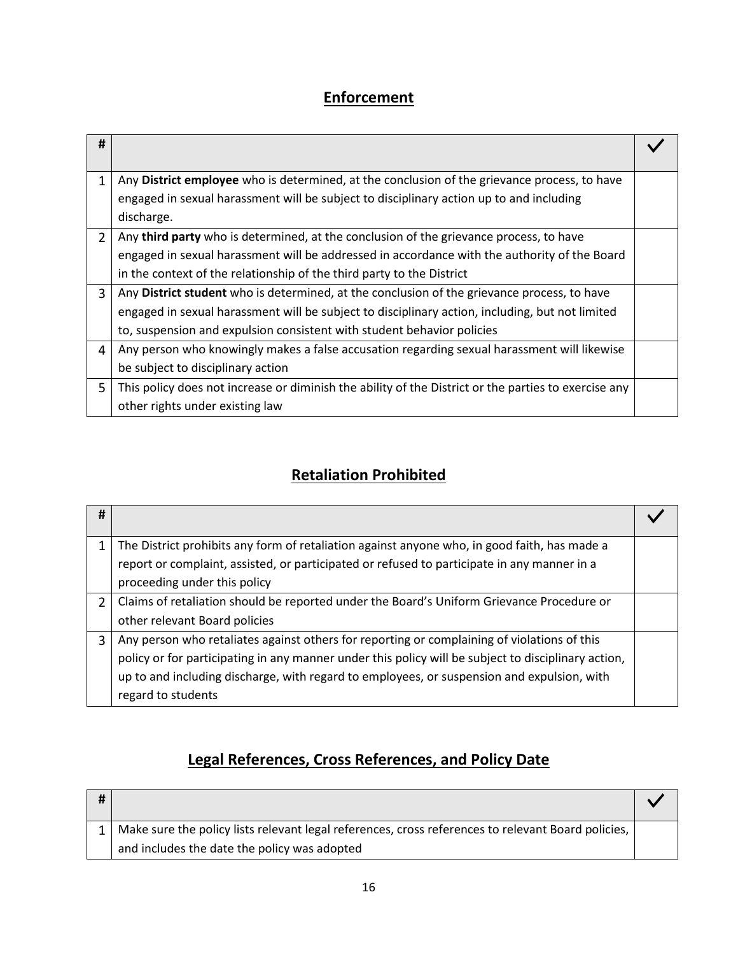# **Enforcement**

| #              |                                                                                                      |  |
|----------------|------------------------------------------------------------------------------------------------------|--|
| 1              | Any District employee who is determined, at the conclusion of the grievance process, to have         |  |
|                | engaged in sexual harassment will be subject to disciplinary action up to and including              |  |
|                | discharge.                                                                                           |  |
| $\overline{2}$ | Any <b>third party</b> who is determined, at the conclusion of the grievance process, to have        |  |
|                | engaged in sexual harassment will be addressed in accordance with the authority of the Board         |  |
|                | in the context of the relationship of the third party to the District                                |  |
| 3              | Any District student who is determined, at the conclusion of the grievance process, to have          |  |
|                | engaged in sexual harassment will be subject to disciplinary action, including, but not limited      |  |
|                | to, suspension and expulsion consistent with student behavior policies                               |  |
| 4              | Any person who knowingly makes a false accusation regarding sexual harassment will likewise          |  |
|                | be subject to disciplinary action                                                                    |  |
| 5              | This policy does not increase or diminish the ability of the District or the parties to exercise any |  |
|                | other rights under existing law                                                                      |  |

# **Retaliation Prohibited**

| #             |                                                                                                     |  |
|---------------|-----------------------------------------------------------------------------------------------------|--|
|               | The District prohibits any form of retaliation against anyone who, in good faith, has made a        |  |
|               | report or complaint, assisted, or participated or refused to participate in any manner in a         |  |
|               | proceeding under this policy                                                                        |  |
| $\mathcal{P}$ | Claims of retaliation should be reported under the Board's Uniform Grievance Procedure or           |  |
|               | other relevant Board policies                                                                       |  |
| 3             | Any person who retaliates against others for reporting or complaining of violations of this         |  |
|               | policy or for participating in any manner under this policy will be subject to disciplinary action, |  |
|               | up to and including discharge, with regard to employees, or suspension and expulsion, with          |  |
|               | regard to students                                                                                  |  |

# **Legal References, Cross References, and Policy Date**

| Make sure the policy lists relevant legal references, cross references to relevant Board policies, |  |
|----------------------------------------------------------------------------------------------------|--|
| and includes the date the policy was adopted                                                       |  |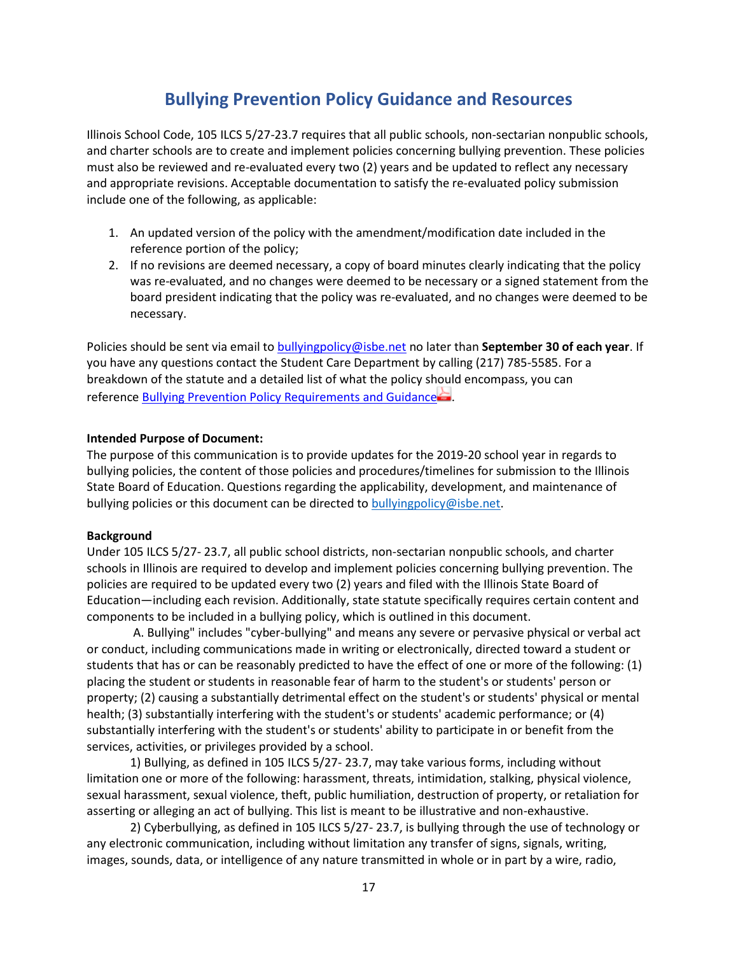### **Bullying Prevention Policy Guidance and Resources**

<span id="page-17-0"></span>Illinois School Code, 105 ILCS 5/27-23.7 requires that all public schools, non-sectarian nonpublic schools, and charter schools are to create and implement policies concerning bullying prevention. These policies must also be reviewed and re-evaluated every two (2) years and be updated to reflect any necessary and appropriate revisions. Acceptable documentation to satisfy the re-evaluated policy submission include one of the following, as applicable:

- 1. An updated version of the policy with the amendment/modification date included in the reference portion of the policy;
- 2. If no revisions are deemed necessary, a copy of board minutes clearly indicating that the policy was re-evaluated, and no changes were deemed to be necessary or a signed statement from the board president indicating that the policy was re-evaluated, and no changes were deemed to be necessary.

Policies should be sent via email to [bullyingpolicy@isbe.net](mailto:bullyingpolicy@isbe.net) no later than **September 30 of each year**. If you have any questions contact the Student Care Department by calling (217) 785-5585. For a breakdown of the statute and a detailed list of what the policy should encompass, you can reference [Bullying Prevention Policy Requirements and Guidance](https://www.isbe.net/Documents/Bullying-Prev-Policy-Req.pdf)

#### **Intended Purpose of Document:**

The purpose of this communication is to provide updates for the 2019-20 school year in regards to bullying policies, the content of those policies and procedures/timelines for submission to the Illinois State Board of Education. Questions regarding the applicability, development, and maintenance of bullying policies or this document can be directed to [bullyingpolicy@isbe.net.](mailto:bullyingpolicy@isbe.net)

#### **Background**

Under 105 ILCS 5/27- 23.7, all public school districts, non-sectarian nonpublic schools, and charter schools in Illinois are required to develop and implement policies concerning bullying prevention. The policies are required to be updated every two (2) years and filed with the Illinois State Board of Education—including each revision. Additionally, state statute specifically requires certain content and components to be included in a bullying policy, which is outlined in this document.

A. Bullying" includes "cyber-bullying" and means any severe or pervasive physical or verbal act or conduct, including communications made in writing or electronically, directed toward a student or students that has or can be reasonably predicted to have the effect of one or more of the following: (1) placing the student or students in reasonable fear of harm to the student's or students' person or property; (2) causing a substantially detrimental effect on the student's or students' physical or mental health; (3) substantially interfering with the student's or students' academic performance; or (4) substantially interfering with the student's or students' ability to participate in or benefit from the services, activities, or privileges provided by a school.

1) Bullying, as defined in 105 ILCS 5/27- 23.7, may take various forms, including without limitation one or more of the following: harassment, threats, intimidation, stalking, physical violence, sexual harassment, sexual violence, theft, public humiliation, destruction of property, or retaliation for asserting or alleging an act of bullying. This list is meant to be illustrative and non-exhaustive.

2) Cyberbullying, as defined in 105 ILCS 5/27- 23.7, is bullying through the use of technology or any electronic communication, including without limitation any transfer of signs, signals, writing, images, sounds, data, or intelligence of any nature transmitted in whole or in part by a wire, radio,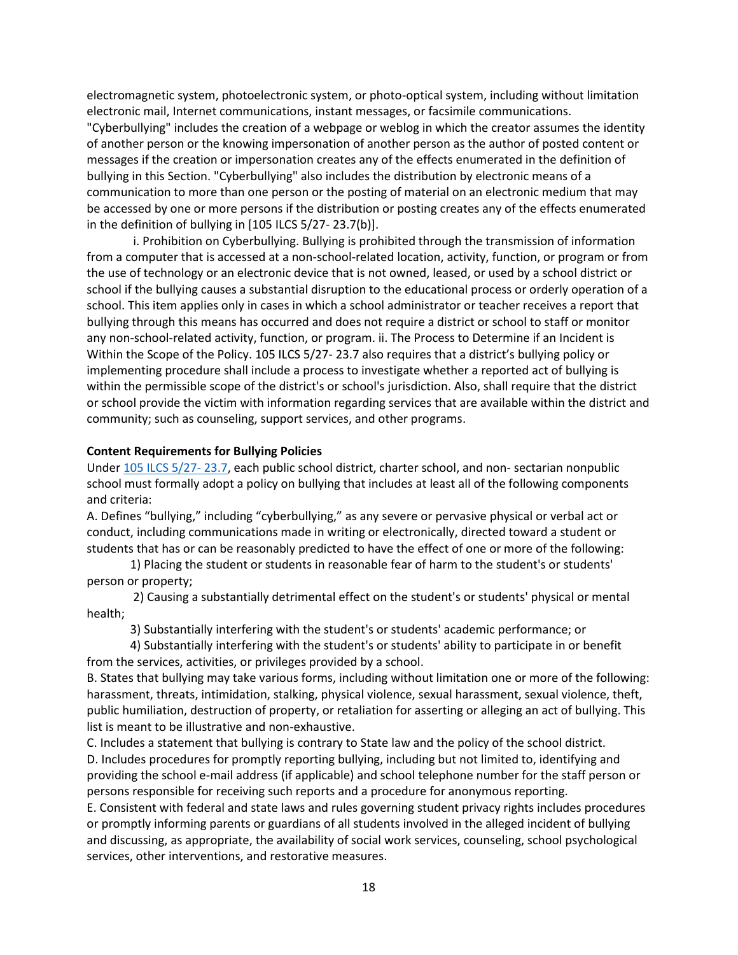electromagnetic system, photoelectronic system, or photo-optical system, including without limitation electronic mail, Internet communications, instant messages, or facsimile communications. "Cyberbullying" includes the creation of a webpage or weblog in which the creator assumes the identity of another person or the knowing impersonation of another person as the author of posted content or messages if the creation or impersonation creates any of the effects enumerated in the definition of bullying in this Section. "Cyberbullying" also includes the distribution by electronic means of a communication to more than one person or the posting of material on an electronic medium that may be accessed by one or more persons if the distribution or posting creates any of the effects enumerated in the definition of bullying in [105 ILCS 5/27- 23.7(b)].

i. Prohibition on Cyberbullying. Bullying is prohibited through the transmission of information from a computer that is accessed at a non-school-related location, activity, function, or program or from the use of technology or an electronic device that is not owned, leased, or used by a school district or school if the bullying causes a substantial disruption to the educational process or orderly operation of a school. This item applies only in cases in which a school administrator or teacher receives a report that bullying through this means has occurred and does not require a district or school to staff or monitor any non-school-related activity, function, or program. ii. The Process to Determine if an Incident is Within the Scope of the Policy. 105 ILCS 5/27- 23.7 also requires that a district's bullying policy or implementing procedure shall include a process to investigate whether a reported act of bullying is within the permissible scope of the district's or school's jurisdiction. Also, shall require that the district or school provide the victim with information regarding services that are available within the district and community; such as counseling, support services, and other programs.

#### **Content Requirements for Bullying Policies**

Under [105 ILCS 5/27-](https://www.ilga.gov/legislation/ilcs/fulltext.asp?DocName=010500050K27-23.7) 23.7, each public school district, charter school, and non- sectarian nonpublic school must formally adopt a policy on bullying that includes at least all of the following components and criteria:

A. Defines "bullying," including "cyberbullying," as any severe or pervasive physical or verbal act or conduct, including communications made in writing or electronically, directed toward a student or students that has or can be reasonably predicted to have the effect of one or more of the following:

1) Placing the student or students in reasonable fear of harm to the student's or students' person or property;

2) Causing a substantially detrimental effect on the student's or students' physical or mental health;

3) Substantially interfering with the student's or students' academic performance; or

4) Substantially interfering with the student's or students' ability to participate in or benefit from the services, activities, or privileges provided by a school.

B. States that bullying may take various forms, including without limitation one or more of the following: harassment, threats, intimidation, stalking, physical violence, sexual harassment, sexual violence, theft, public humiliation, destruction of property, or retaliation for asserting or alleging an act of bullying. This list is meant to be illustrative and non-exhaustive.

C. Includes a statement that bullying is contrary to State law and the policy of the school district. D. Includes procedures for promptly reporting bullying, including but not limited to, identifying and providing the school e-mail address (if applicable) and school telephone number for the staff person or persons responsible for receiving such reports and a procedure for anonymous reporting.

E. Consistent with federal and state laws and rules governing student privacy rights includes procedures or promptly informing parents or guardians of all students involved in the alleged incident of bullying and discussing, as appropriate, the availability of social work services, counseling, school psychological services, other interventions, and restorative measures.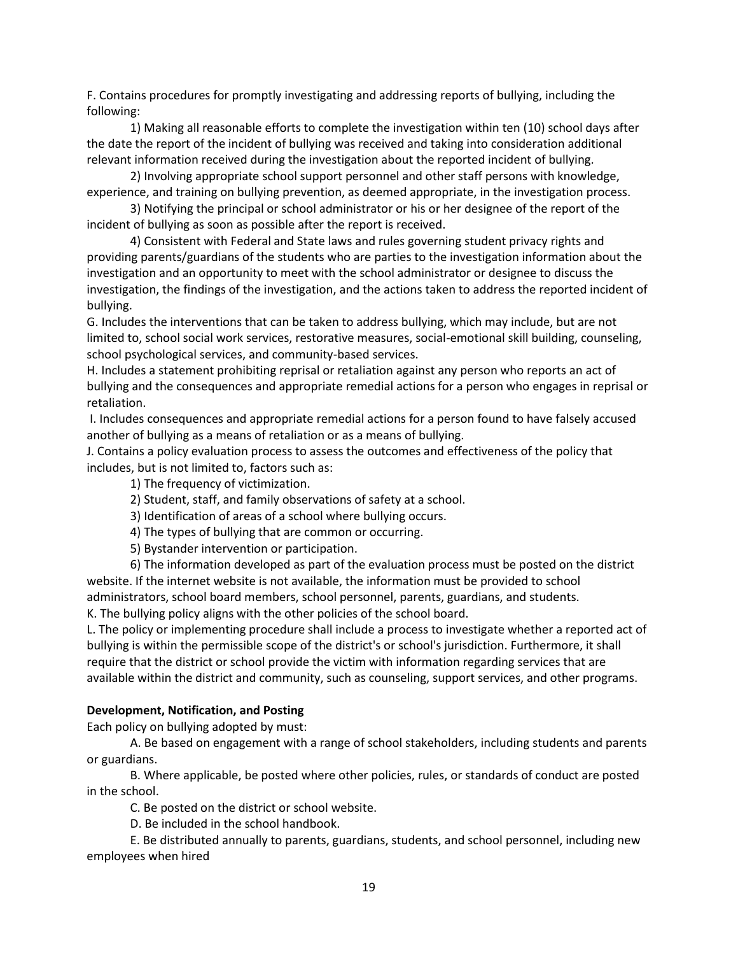F. Contains procedures for promptly investigating and addressing reports of bullying, including the following:

1) Making all reasonable efforts to complete the investigation within ten (10) school days after the date the report of the incident of bullying was received and taking into consideration additional relevant information received during the investigation about the reported incident of bullying.

2) Involving appropriate school support personnel and other staff persons with knowledge, experience, and training on bullying prevention, as deemed appropriate, in the investigation process.

3) Notifying the principal or school administrator or his or her designee of the report of the incident of bullying as soon as possible after the report is received.

4) Consistent with Federal and State laws and rules governing student privacy rights and providing parents/guardians of the students who are parties to the investigation information about the investigation and an opportunity to meet with the school administrator or designee to discuss the investigation, the findings of the investigation, and the actions taken to address the reported incident of bullying.

G. Includes the interventions that can be taken to address bullying, which may include, but are not limited to, school social work services, restorative measures, social-emotional skill building, counseling, school psychological services, and community-based services.

H. Includes a statement prohibiting reprisal or retaliation against any person who reports an act of bullying and the consequences and appropriate remedial actions for a person who engages in reprisal or retaliation.

I. Includes consequences and appropriate remedial actions for a person found to have falsely accused another of bullying as a means of retaliation or as a means of bullying.

J. Contains a policy evaluation process to assess the outcomes and effectiveness of the policy that includes, but is not limited to, factors such as:

1) The frequency of victimization.

- 2) Student, staff, and family observations of safety at a school.
- 3) Identification of areas of a school where bullying occurs.
- 4) The types of bullying that are common or occurring.
- 5) Bystander intervention or participation.

6) The information developed as part of the evaluation process must be posted on the district website. If the internet website is not available, the information must be provided to school administrators, school board members, school personnel, parents, guardians, and students. K. The bullying policy aligns with the other policies of the school board.

L. The policy or implementing procedure shall include a process to investigate whether a reported act of bullying is within the permissible scope of the district's or school's jurisdiction. Furthermore, it shall require that the district or school provide the victim with information regarding services that are available within the district and community, such as counseling, support services, and other programs.

#### **Development, Notification, and Posting**

Each policy on bullying adopted by must:

A. Be based on engagement with a range of school stakeholders, including students and parents or guardians.

B. Where applicable, be posted where other policies, rules, or standards of conduct are posted in the school.

C. Be posted on the district or school website.

D. Be included in the school handbook.

E. Be distributed annually to parents, guardians, students, and school personnel, including new employees when hired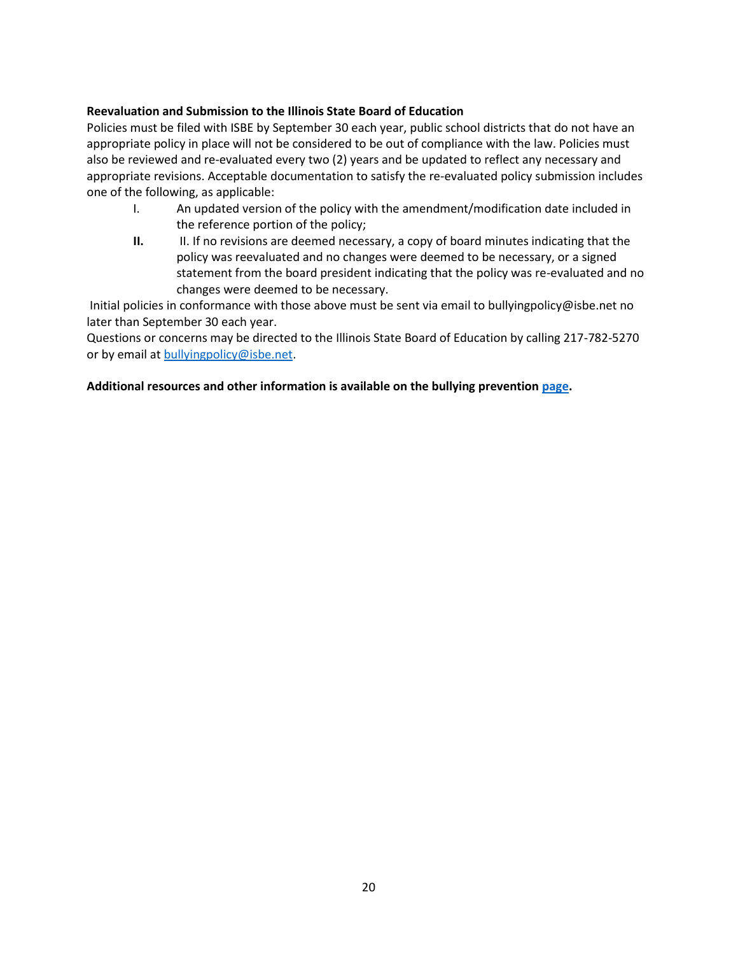#### **Reevaluation and Submission to the Illinois State Board of Education**

Policies must be filed with ISBE by September 30 each year, public school districts that do not have an appropriate policy in place will not be considered to be out of compliance with the law. Policies must also be reviewed and re-evaluated every two (2) years and be updated to reflect any necessary and appropriate revisions. Acceptable documentation to satisfy the re-evaluated policy submission includes one of the following, as applicable:

- I. An updated version of the policy with the amendment/modification date included in the reference portion of the policy;
- **II.** II. If no revisions are deemed necessary, a copy of board minutes indicating that the policy was reevaluated and no changes were deemed to be necessary, or a signed statement from the board president indicating that the policy was re-evaluated and no changes were deemed to be necessary.

Initial policies in conformance with those above must be sent via email to bullyingpolicy@isbe.net no later than September 30 each year.

Questions or concerns may be directed to the Illinois State Board of Education by calling 217-782-5270 or by email at [bullyingpolicy@isbe.net.](mailto:bullyingpolicy@isbe.net)

#### **Additional resources and other information is available on the bullying prevention [page.](https://www.isbe.net/Pages/Bullying-Prevention.aspx)**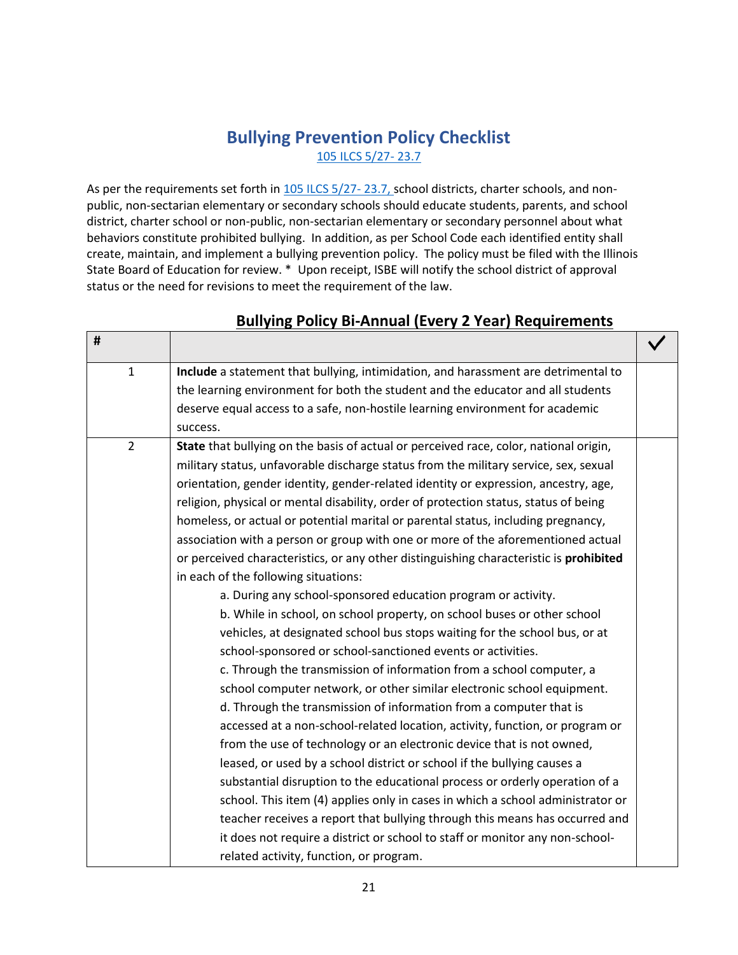### **Bullying Prevention Policy Checklist** 105 ILCS 5/27- 23.7

<span id="page-21-0"></span>As per the requirements set forth in [105 ILCS 5/27-](https://www.ilga.gov/legislation/ilcs/fulltext.asp?DocName=010500050K27-23.7)23.7, school districts, charter schools, and nonpublic, non-sectarian elementary or secondary schools should educate students, parents, and school district, charter school or non-public, non-sectarian elementary or secondary personnel about what behaviors constitute prohibited bullying. In addition, as per School Code each identified entity shall create, maintain, and implement a bullying prevention policy. The policy must be filed with the Illinois State Board of Education for review. \* Upon receipt, ISBE will notify the school district of approval status or the need for revisions to meet the requirement of the law.

**#**

| #              |                                                                                        |  |
|----------------|----------------------------------------------------------------------------------------|--|
| $\mathbf{1}$   | Include a statement that bullying, intimidation, and harassment are detrimental to     |  |
|                | the learning environment for both the student and the educator and all students        |  |
|                | deserve equal access to a safe, non-hostile learning environment for academic          |  |
|                | success.                                                                               |  |
| $\overline{2}$ | State that bullying on the basis of actual or perceived race, color, national origin,  |  |
|                | military status, unfavorable discharge status from the military service, sex, sexual   |  |
|                | orientation, gender identity, gender-related identity or expression, ancestry, age,    |  |
|                | religion, physical or mental disability, order of protection status, status of being   |  |
|                | homeless, or actual or potential marital or parental status, including pregnancy,      |  |
|                | association with a person or group with one or more of the aforementioned actual       |  |
|                | or perceived characteristics, or any other distinguishing characteristic is prohibited |  |
|                | in each of the following situations:                                                   |  |
|                | a. During any school-sponsored education program or activity.                          |  |
|                | b. While in school, on school property, on school buses or other school                |  |
|                | vehicles, at designated school bus stops waiting for the school bus, or at             |  |
|                | school-sponsored or school-sanctioned events or activities.                            |  |
|                | c. Through the transmission of information from a school computer, a                   |  |
|                | school computer network, or other similar electronic school equipment.                 |  |
|                | d. Through the transmission of information from a computer that is                     |  |
|                | accessed at a non-school-related location, activity, function, or program or           |  |
|                | from the use of technology or an electronic device that is not owned,                  |  |
|                | leased, or used by a school district or school if the bullying causes a                |  |
|                | substantial disruption to the educational process or orderly operation of a            |  |
|                | school. This item (4) applies only in cases in which a school administrator or         |  |
|                | teacher receives a report that bullying through this means has occurred and            |  |
|                | it does not require a district or school to staff or monitor any non-school-           |  |
|                | related activity, function, or program.                                                |  |

#### **Bullying Policy Bi-Annual (Every 2 Year) Requirements**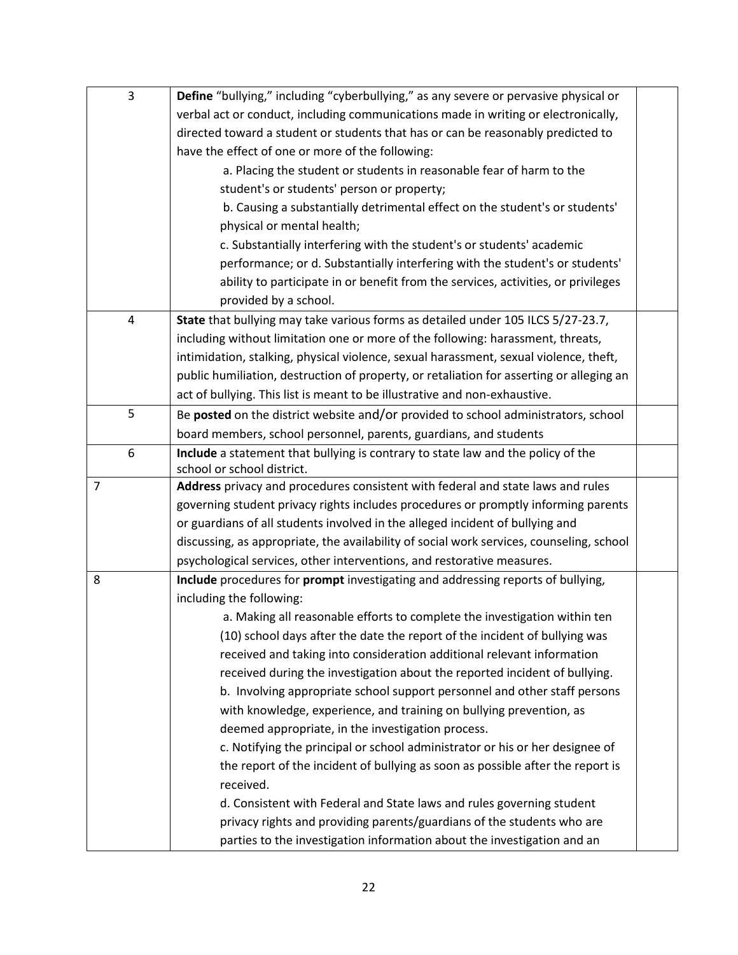| 3              | Define "bullying," including "cyberbullying," as any severe or pervasive physical or        |  |
|----------------|---------------------------------------------------------------------------------------------|--|
|                | verbal act or conduct, including communications made in writing or electronically,          |  |
|                | directed toward a student or students that has or can be reasonably predicted to            |  |
|                | have the effect of one or more of the following:                                            |  |
|                | a. Placing the student or students in reasonable fear of harm to the                        |  |
|                | student's or students' person or property;                                                  |  |
|                | b. Causing a substantially detrimental effect on the student's or students'                 |  |
|                | physical or mental health;                                                                  |  |
|                | c. Substantially interfering with the student's or students' academic                       |  |
|                | performance; or d. Substantially interfering with the student's or students'                |  |
|                | ability to participate in or benefit from the services, activities, or privileges           |  |
|                | provided by a school.                                                                       |  |
| 4              | State that bullying may take various forms as detailed under 105 ILCS 5/27-23.7,            |  |
|                | including without limitation one or more of the following: harassment, threats,             |  |
|                | intimidation, stalking, physical violence, sexual harassment, sexual violence, theft,       |  |
|                | public humiliation, destruction of property, or retaliation for asserting or alleging an    |  |
|                | act of bullying. This list is meant to be illustrative and non-exhaustive.                  |  |
| 5              | Be posted on the district website and/or provided to school administrators, school          |  |
|                | board members, school personnel, parents, guardians, and students                           |  |
| 6              | Include a statement that bullying is contrary to state law and the policy of the            |  |
|                | school or school district.                                                                  |  |
| $\overline{7}$ | Address privacy and procedures consistent with federal and state laws and rules             |  |
|                | governing student privacy rights includes procedures or promptly informing parents          |  |
|                | or guardians of all students involved in the alleged incident of bullying and               |  |
|                | discussing, as appropriate, the availability of social work services, counseling, school    |  |
|                | psychological services, other interventions, and restorative measures.                      |  |
| 8              | Include procedures for prompt investigating and addressing reports of bullying,             |  |
|                | including the following:                                                                    |  |
|                | a. Making all reasonable efforts to complete the investigation within ten                   |  |
|                | (10) school days after the date the report of the incident of bullying was                  |  |
|                | received and taking into consideration additional relevant information                      |  |
|                | received during the investigation about the reported incident of bullying.                  |  |
|                | b. Involving appropriate school support personnel and other staff persons                   |  |
|                | with knowledge, experience, and training on bullying prevention, as                         |  |
|                | deemed appropriate, in the investigation process.                                           |  |
|                | c. Notifying the principal or school administrator or his or her designee of                |  |
|                | the report of the incident of bullying as soon as possible after the report is<br>received. |  |
|                | d. Consistent with Federal and State laws and rules governing student                       |  |
|                | privacy rights and providing parents/guardians of the students who are                      |  |
|                | parties to the investigation information about the investigation and an                     |  |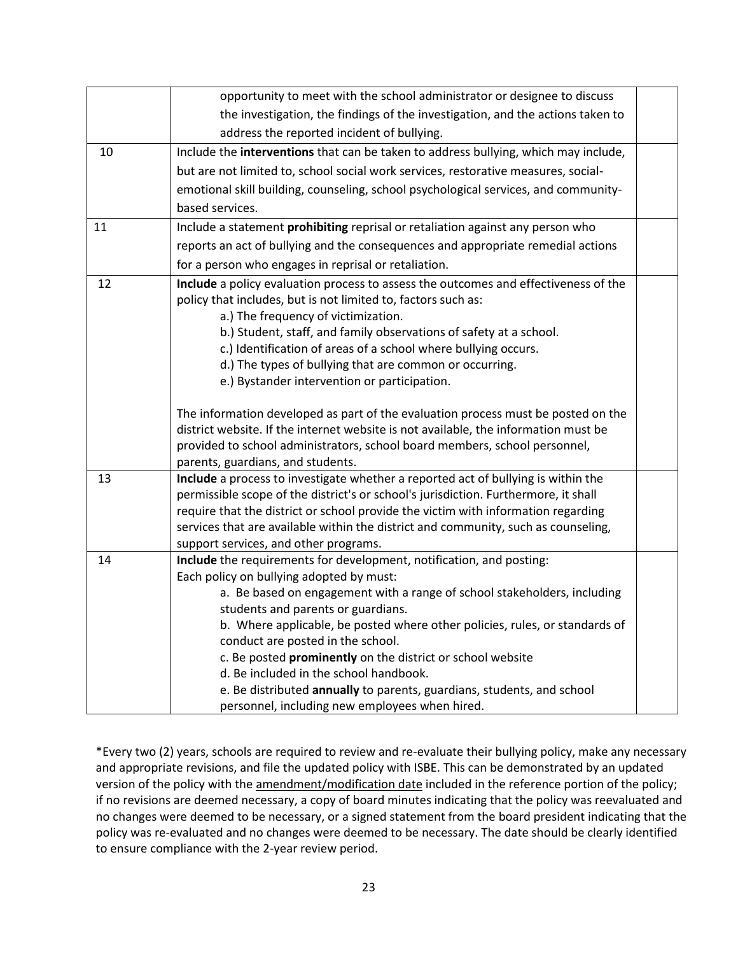|    | opportunity to meet with the school administrator or designee to discuss                                                                                                                                                                                                                                                                                                                     |  |
|----|----------------------------------------------------------------------------------------------------------------------------------------------------------------------------------------------------------------------------------------------------------------------------------------------------------------------------------------------------------------------------------------------|--|
|    | the investigation, the findings of the investigation, and the actions taken to                                                                                                                                                                                                                                                                                                               |  |
|    | address the reported incident of bullying.                                                                                                                                                                                                                                                                                                                                                   |  |
| 10 | Include the interventions that can be taken to address bullying, which may include,                                                                                                                                                                                                                                                                                                          |  |
|    | but are not limited to, school social work services, restorative measures, social-                                                                                                                                                                                                                                                                                                           |  |
|    | emotional skill building, counseling, school psychological services, and community-                                                                                                                                                                                                                                                                                                          |  |
|    | based services.                                                                                                                                                                                                                                                                                                                                                                              |  |
| 11 | Include a statement prohibiting reprisal or retaliation against any person who                                                                                                                                                                                                                                                                                                               |  |
|    | reports an act of bullying and the consequences and appropriate remedial actions                                                                                                                                                                                                                                                                                                             |  |
|    | for a person who engages in reprisal or retaliation.                                                                                                                                                                                                                                                                                                                                         |  |
| 12 | Include a policy evaluation process to assess the outcomes and effectiveness of the<br>policy that includes, but is not limited to, factors such as:<br>a.) The frequency of victimization.                                                                                                                                                                                                  |  |
|    | b.) Student, staff, and family observations of safety at a school.                                                                                                                                                                                                                                                                                                                           |  |
|    | c.) Identification of areas of a school where bullying occurs.                                                                                                                                                                                                                                                                                                                               |  |
|    | d.) The types of bullying that are common or occurring.                                                                                                                                                                                                                                                                                                                                      |  |
|    | e.) Bystander intervention or participation.                                                                                                                                                                                                                                                                                                                                                 |  |
|    | The information developed as part of the evaluation process must be posted on the<br>district website. If the internet website is not available, the information must be<br>provided to school administrators, school board members, school personnel,<br>parents, guardians, and students.                                                                                                  |  |
| 13 | Include a process to investigate whether a reported act of bullying is within the<br>permissible scope of the district's or school's jurisdiction. Furthermore, it shall<br>require that the district or school provide the victim with information regarding<br>services that are available within the district and community, such as counseling,<br>support services, and other programs. |  |
| 14 | Include the requirements for development, notification, and posting:                                                                                                                                                                                                                                                                                                                         |  |
|    | Each policy on bullying adopted by must:                                                                                                                                                                                                                                                                                                                                                     |  |
|    | a. Be based on engagement with a range of school stakeholders, including<br>students and parents or guardians.                                                                                                                                                                                                                                                                               |  |
|    | b. Where applicable, be posted where other policies, rules, or standards of                                                                                                                                                                                                                                                                                                                  |  |
|    | conduct are posted in the school.                                                                                                                                                                                                                                                                                                                                                            |  |
|    | c. Be posted prominently on the district or school website                                                                                                                                                                                                                                                                                                                                   |  |
|    | d. Be included in the school handbook.                                                                                                                                                                                                                                                                                                                                                       |  |
|    | e. Be distributed annually to parents, guardians, students, and school                                                                                                                                                                                                                                                                                                                       |  |
|    | personnel, including new employees when hired.                                                                                                                                                                                                                                                                                                                                               |  |

\*Every two (2) years, schools are required to review and re-evaluate their bullying policy, make any necessary and appropriate revisions, and file the updated policy with ISBE. This can be demonstrated by an updated version of the policy with the amendment/modification date included in the reference portion of the policy; if no revisions are deemed necessary, a copy of board minutes indicating that the policy was reevaluated and no changes were deemed to be necessary, or a signed statement from the board president indicating that the policy was re-evaluated and no changes were deemed to be necessary. The date should be clearly identified to ensure compliance with the 2-year review period.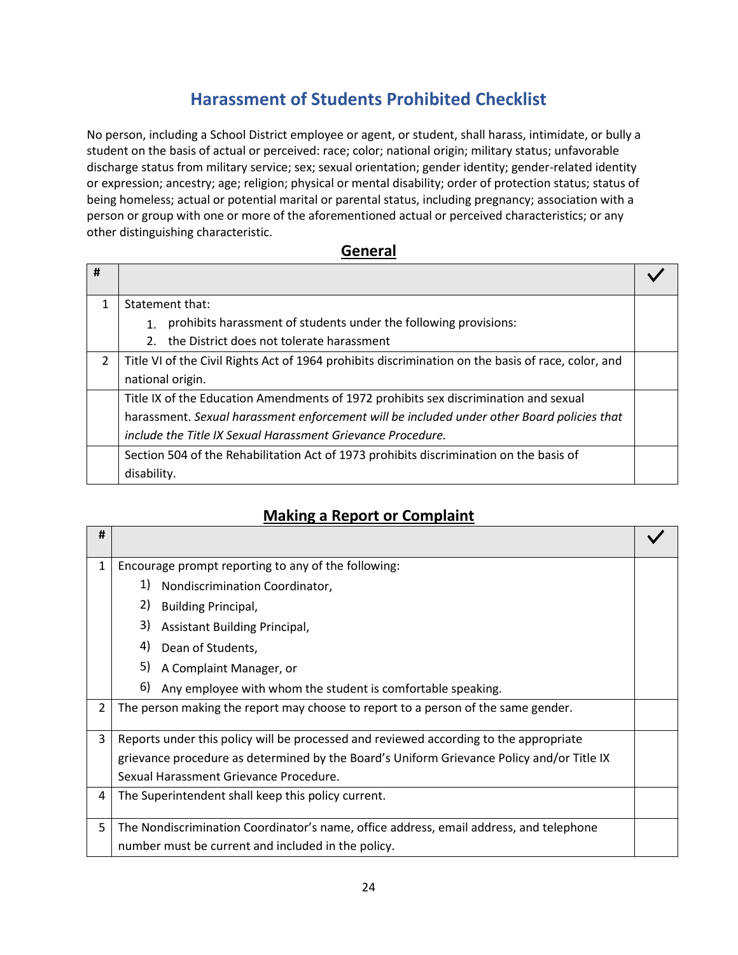# **Harassment of Students Prohibited Checklist**

<span id="page-24-0"></span>No person, including a School District employee or agent, or student, shall harass, intimidate, or bully a student on the basis of actual or perceived: race; color; national origin; military status; unfavorable discharge status from military service; sex; sexual orientation; gender identity; gender-related identity or expression; ancestry; age; religion; physical or mental disability; order of protection status; status of being homeless; actual or potential marital or parental status, including pregnancy; association with a person or group with one or more of the aforementioned actual or perceived characteristics; or any other distinguishing characteristic.

#### **General**

| # |                                                                                                    |  |
|---|----------------------------------------------------------------------------------------------------|--|
|   | Statement that:                                                                                    |  |
|   | prohibits harassment of students under the following provisions:<br>1 <sup>1</sup>                 |  |
|   | the District does not tolerate harassment<br>2.                                                    |  |
| 2 | Title VI of the Civil Rights Act of 1964 prohibits discrimination on the basis of race, color, and |  |
|   | national origin.                                                                                   |  |
|   | Title IX of the Education Amendments of 1972 prohibits sex discrimination and sexual               |  |
|   | harassment. Sexual harassment enforcement will be included under other Board policies that         |  |
|   | include the Title IX Sexual Harassment Grievance Procedure.                                        |  |
|   | Section 504 of the Rehabilitation Act of 1973 prohibits discrimination on the basis of             |  |
|   | disability.                                                                                        |  |

### **Making a Report or Complaint**

| #              |                                                                                           |  |
|----------------|-------------------------------------------------------------------------------------------|--|
| 1              | Encourage prompt reporting to any of the following:                                       |  |
|                | 1)<br>Nondiscrimination Coordinator,                                                      |  |
|                | 2)<br><b>Building Principal,</b>                                                          |  |
|                | 3)<br><b>Assistant Building Principal,</b>                                                |  |
|                | 4)<br>Dean of Students,                                                                   |  |
|                | 5)<br>A Complaint Manager, or                                                             |  |
|                | 6)<br>Any employee with whom the student is comfortable speaking.                         |  |
| $\overline{2}$ | The person making the report may choose to report to a person of the same gender.         |  |
| 3              | Reports under this policy will be processed and reviewed according to the appropriate     |  |
|                | grievance procedure as determined by the Board's Uniform Grievance Policy and/or Title IX |  |
|                | Sexual Harassment Grievance Procedure.                                                    |  |
| 4              | The Superintendent shall keep this policy current.                                        |  |
| 5              | The Nondiscrimination Coordinator's name, office address, email address, and telephone    |  |
|                | number must be current and included in the policy.                                        |  |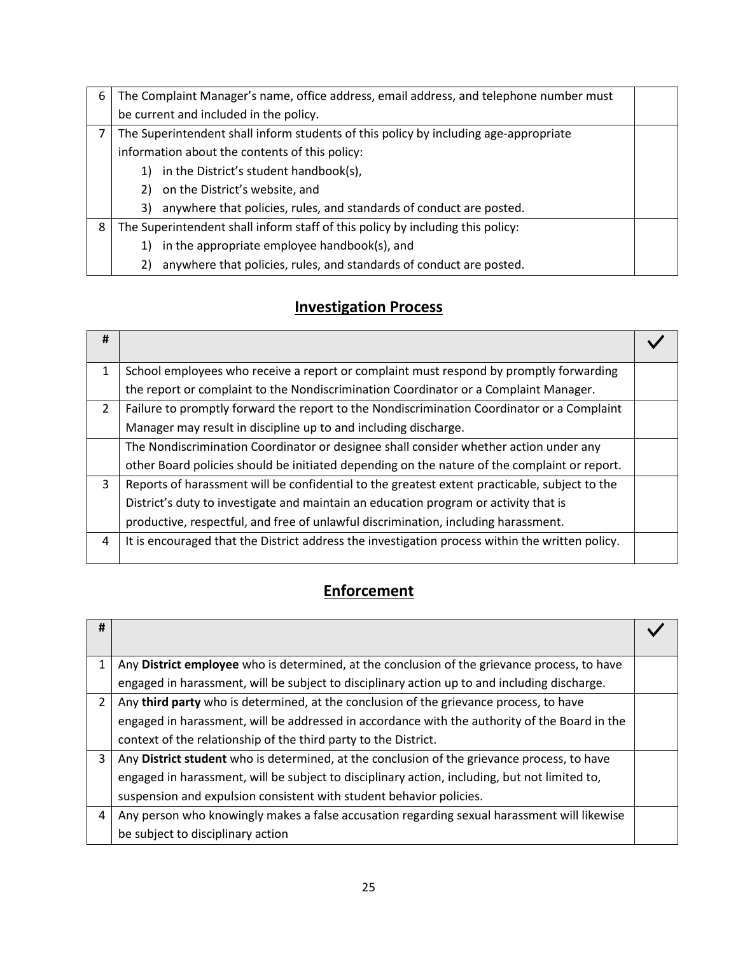| 6 | The Complaint Manager's name, office address, email address, and telephone number must |  |
|---|----------------------------------------------------------------------------------------|--|
|   | be current and included in the policy.                                                 |  |
|   | The Superintendent shall inform students of this policy by including age-appropriate   |  |
|   | information about the contents of this policy:                                         |  |
|   | in the District's student handbook(s),<br>1)                                           |  |
|   | on the District's website, and<br>2)                                                   |  |
|   | anywhere that policies, rules, and standards of conduct are posted.<br>3)              |  |
| 8 | The Superintendent shall inform staff of this policy by including this policy:         |  |
|   | in the appropriate employee handbook(s), and<br>1)                                     |  |
|   | anywhere that policies, rules, and standards of conduct are posted.<br>2)              |  |

# **Investigation Process**

| # |                                                                                                 |  |
|---|-------------------------------------------------------------------------------------------------|--|
| 1 | School employees who receive a report or complaint must respond by promptly forwarding          |  |
|   | the report or complaint to the Nondiscrimination Coordinator or a Complaint Manager.            |  |
| 2 | Failure to promptly forward the report to the Nondiscrimination Coordinator or a Complaint      |  |
|   | Manager may result in discipline up to and including discharge.                                 |  |
|   | The Nondiscrimination Coordinator or designee shall consider whether action under any           |  |
|   | other Board policies should be initiated depending on the nature of the complaint or report.    |  |
| 3 | Reports of harassment will be confidential to the greatest extent practicable, subject to the   |  |
|   | District's duty to investigate and maintain an education program or activity that is            |  |
|   | productive, respectful, and free of unlawful discrimination, including harassment.              |  |
| 4 | It is encouraged that the District address the investigation process within the written policy. |  |

# **Enforcement**

| #              |                                                                                               |  |
|----------------|-----------------------------------------------------------------------------------------------|--|
| 1              | Any District employee who is determined, at the conclusion of the grievance process, to have  |  |
|                | engaged in harassment, will be subject to disciplinary action up to and including discharge.  |  |
| $\overline{2}$ | Any third party who is determined, at the conclusion of the grievance process, to have        |  |
|                | engaged in harassment, will be addressed in accordance with the authority of the Board in the |  |
|                | context of the relationship of the third party to the District.                               |  |
| 3              | Any District student who is determined, at the conclusion of the grievance process, to have   |  |
|                | engaged in harassment, will be subject to disciplinary action, including, but not limited to, |  |
|                | suspension and expulsion consistent with student behavior policies.                           |  |
| 4              | Any person who knowingly makes a false accusation regarding sexual harassment will likewise   |  |
|                | be subject to disciplinary action                                                             |  |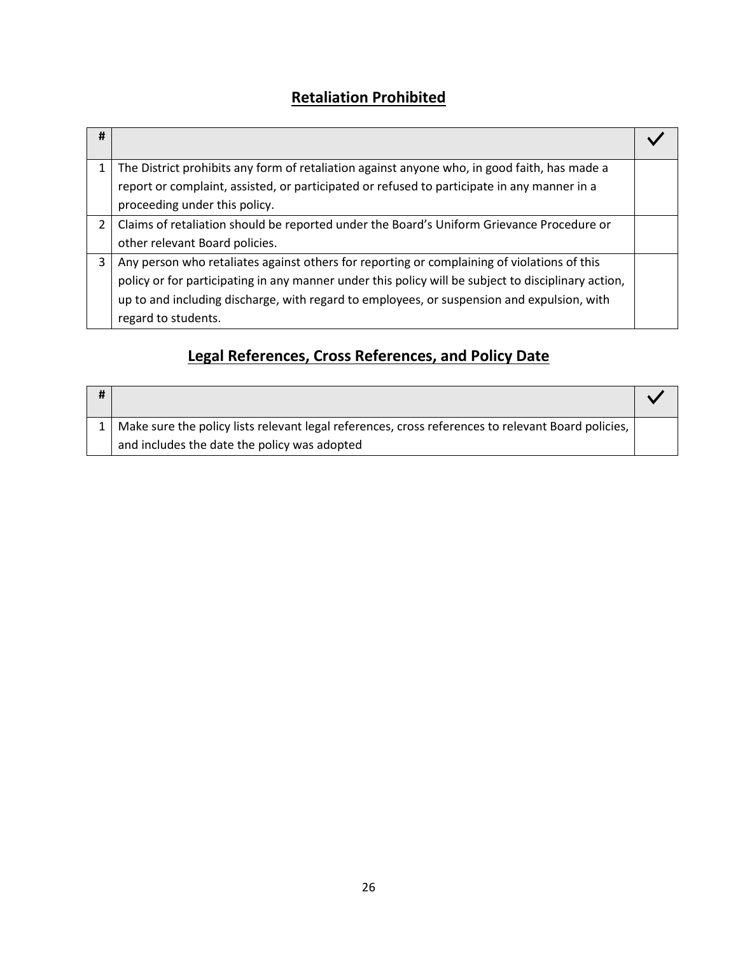# **Retaliation Prohibited**

| #           |                                                                                                     |  |
|-------------|-----------------------------------------------------------------------------------------------------|--|
| 1           | The District prohibits any form of retaliation against anyone who, in good faith, has made a        |  |
|             | report or complaint, assisted, or participated or refused to participate in any manner in a         |  |
|             | proceeding under this policy.                                                                       |  |
| $2^{\circ}$ | Claims of retaliation should be reported under the Board's Uniform Grievance Procedure or           |  |
|             | other relevant Board policies.                                                                      |  |
| 3           | Any person who retaliates against others for reporting or complaining of violations of this         |  |
|             | policy or for participating in any manner under this policy will be subject to disciplinary action, |  |
|             | up to and including discharge, with regard to employees, or suspension and expulsion, with          |  |
|             | regard to students.                                                                                 |  |

# **Legal References, Cross References, and Policy Date**

| 1   Make sure the policy lists relevant legal references, cross references to relevant Board policies, |  |
|--------------------------------------------------------------------------------------------------------|--|
| and includes the date the policy was adopted                                                           |  |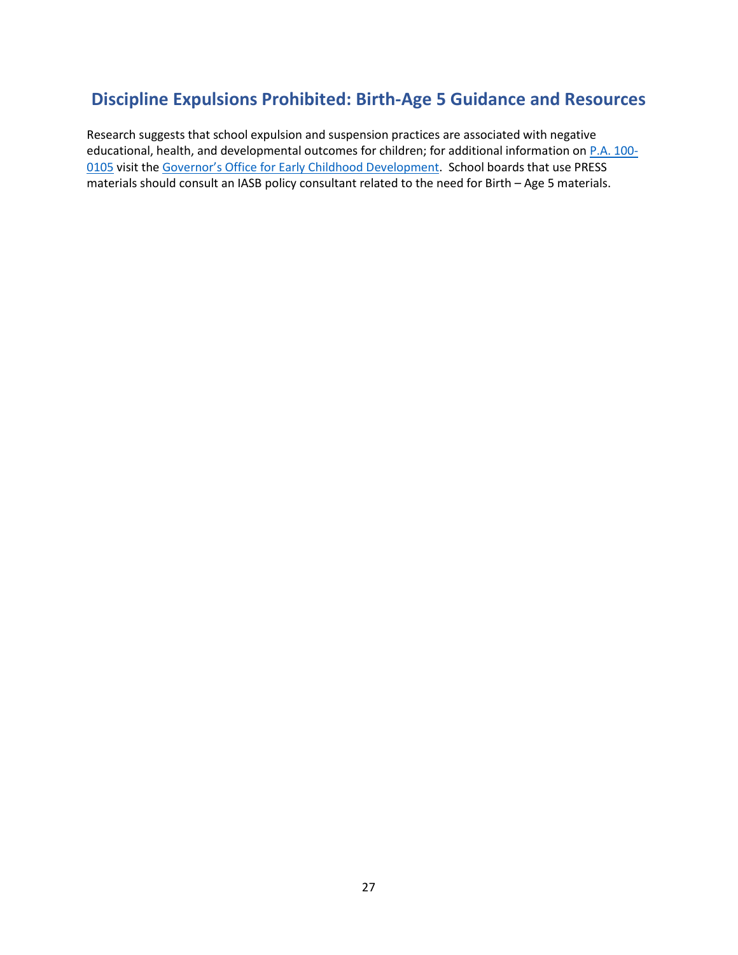### <span id="page-27-0"></span>**Discipline Expulsions Prohibited: Birth-Age 5 Guidance and Resources**

Research suggests that school expulsion and suspension practices are associated with negative educational, health, and developmental outcomes for children; for additional information on [P.A. 100-](https://www.ilga.gov/legislation/publicacts/fulltext.asp?Name=100-0105) [0105](https://www.ilga.gov/legislation/publicacts/fulltext.asp?Name=100-0105) visit the [Governor's Office for Early Childhood D](https://www2.illinois.gov/sites/OECD/Pages/Suspension-and-Expulsion-Resources.aspx)evelopment. School boards that use PRESS materials should consult an IASB policy consultant related to the need for Birth – Age 5 materials.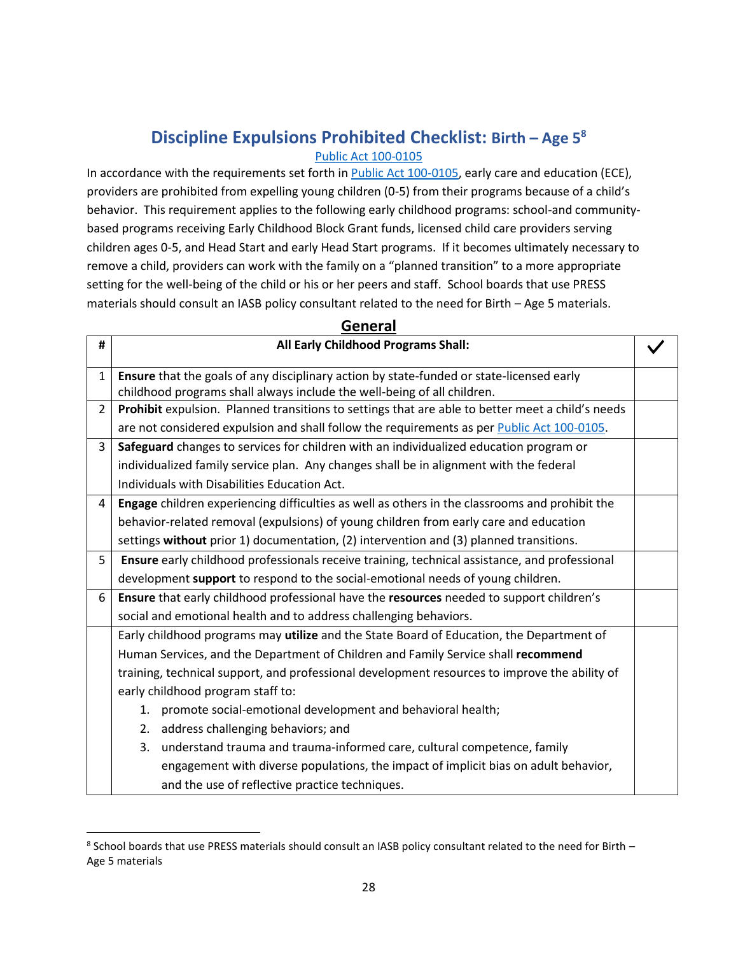# **Discipline Expulsions Prohibited Checklist: Birth – Age 5<sup>8</sup>**

#### [Public Act 100-0105](https://www.ilga.gov/legislation/publicacts/fulltext.asp?Name=100-0105)

<span id="page-28-0"></span>In accordance with the requirements set forth in [Public Act 100-0105,](https://www.ilga.gov/legislation/publicacts/fulltext.asp?Name=100-0105) early care and education (ECE), providers are prohibited from expelling young children (0-5) from their programs because of a child's behavior. This requirement applies to the following early childhood programs: school-and communitybased programs receiving Early Childhood Block Grant funds, licensed child care providers serving children ages 0-5, and Head Start and early Head Start programs. If it becomes ultimately necessary to remove a child, providers can work with the family on a "planned transition" to a more appropriate setting for the well-being of the child or his or her peers and staff. School boards that use PRESS materials should consult an IASB policy consultant related to the need for Birth – Age 5 materials.

| #              | All Early Childhood Programs Shall:                                                              |  |
|----------------|--------------------------------------------------------------------------------------------------|--|
| $\mathbf{1}$   | Ensure that the goals of any disciplinary action by state-funded or state-licensed early         |  |
|                | childhood programs shall always include the well-being of all children.                          |  |
| $\overline{2}$ | Prohibit expulsion. Planned transitions to settings that are able to better meet a child's needs |  |
|                | are not considered expulsion and shall follow the requirements as per Public Act 100-0105.       |  |
| 3              | Safeguard changes to services for children with an individualized education program or           |  |
|                | individualized family service plan. Any changes shall be in alignment with the federal           |  |
|                | Individuals with Disabilities Education Act.                                                     |  |
| 4              | Engage children experiencing difficulties as well as others in the classrooms and prohibit the   |  |
|                | behavior-related removal (expulsions) of young children from early care and education            |  |
|                | settings without prior 1) documentation, (2) intervention and (3) planned transitions.           |  |
| 5              | Ensure early childhood professionals receive training, technical assistance, and professional    |  |
|                | development support to respond to the social-emotional needs of young children.                  |  |
| 6              | Ensure that early childhood professional have the resources needed to support children's         |  |
|                | social and emotional health and to address challenging behaviors.                                |  |
|                | Early childhood programs may utilize and the State Board of Education, the Department of         |  |
|                | Human Services, and the Department of Children and Family Service shall recommend                |  |
|                | training, technical support, and professional development resources to improve the ability of    |  |
|                | early childhood program staff to:                                                                |  |
|                | 1. promote social-emotional development and behavioral health;                                   |  |
|                | address challenging behaviors; and<br>2.                                                         |  |
|                | understand trauma and trauma-informed care, cultural competence, family<br>3.                    |  |
|                | engagement with diverse populations, the impact of implicit bias on adult behavior,              |  |
|                | and the use of reflective practice techniques.                                                   |  |

#### **General**

 $^8$  School boards that use PRESS materials should consult an IASB policy consultant related to the need for Birth  $-$ Age 5 materials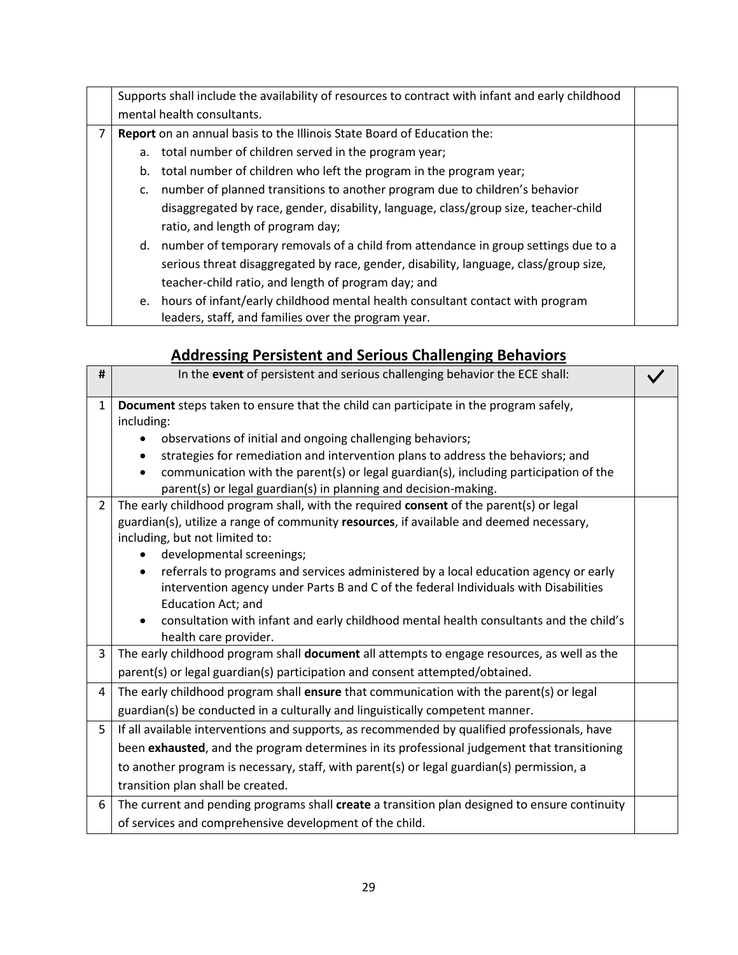|                |             | Supports shall include the availability of resources to contract with infant and early childhood |  |
|----------------|-------------|--------------------------------------------------------------------------------------------------|--|
|                |             | mental health consultants.                                                                       |  |
| $\overline{7}$ |             | Report on an annual basis to the Illinois State Board of Education the:                          |  |
|                |             | a. total number of children served in the program year;                                          |  |
|                |             | b. total number of children who left the program in the program year;                            |  |
|                | $c_{\cdot}$ | number of planned transitions to another program due to children's behavior                      |  |
|                |             | disaggregated by race, gender, disability, language, class/group size, teacher-child             |  |
|                |             | ratio, and length of program day;                                                                |  |
|                |             | d. number of temporary removals of a child from attendance in group settings due to a            |  |
|                |             | serious threat disaggregated by race, gender, disability, language, class/group size,            |  |
|                |             | teacher-child ratio, and length of program day; and                                              |  |
|                |             | e. hours of infant/early childhood mental health consultant contact with program                 |  |
|                |             | leaders, staff, and families over the program year.                                              |  |

# **Addressing Persistent and Serious Challenging Behaviors**

| #              | In the event of persistent and serious challenging behavior the ECE shall:                                                                                                                                                                                                                                                                                                                                                                                                                                                                                                       |  |
|----------------|----------------------------------------------------------------------------------------------------------------------------------------------------------------------------------------------------------------------------------------------------------------------------------------------------------------------------------------------------------------------------------------------------------------------------------------------------------------------------------------------------------------------------------------------------------------------------------|--|
| 1              | Document steps taken to ensure that the child can participate in the program safely,<br>including:<br>observations of initial and ongoing challenging behaviors;<br>strategies for remediation and intervention plans to address the behaviors; and<br>communication with the parent(s) or legal guardian(s), including participation of the<br>parent(s) or legal guardian(s) in planning and decision-making.                                                                                                                                                                  |  |
| $\overline{2}$ | The early childhood program shall, with the required consent of the parent(s) or legal<br>guardian(s), utilize a range of community resources, if available and deemed necessary,<br>including, but not limited to:<br>developmental screenings;<br>referrals to programs and services administered by a local education agency or early<br>intervention agency under Parts B and C of the federal Individuals with Disabilities<br><b>Education Act; and</b><br>consultation with infant and early childhood mental health consultants and the child's<br>health care provider. |  |
| 3              | The early childhood program shall document all attempts to engage resources, as well as the<br>parent(s) or legal guardian(s) participation and consent attempted/obtained.                                                                                                                                                                                                                                                                                                                                                                                                      |  |
| 4              | The early childhood program shall ensure that communication with the parent(s) or legal<br>guardian(s) be conducted in a culturally and linguistically competent manner.                                                                                                                                                                                                                                                                                                                                                                                                         |  |
| 5              | If all available interventions and supports, as recommended by qualified professionals, have<br>been exhausted, and the program determines in its professional judgement that transitioning<br>to another program is necessary, staff, with parent(s) or legal guardian(s) permission, a<br>transition plan shall be created.                                                                                                                                                                                                                                                    |  |
| 6              | The current and pending programs shall create a transition plan designed to ensure continuity<br>of services and comprehensive development of the child.                                                                                                                                                                                                                                                                                                                                                                                                                         |  |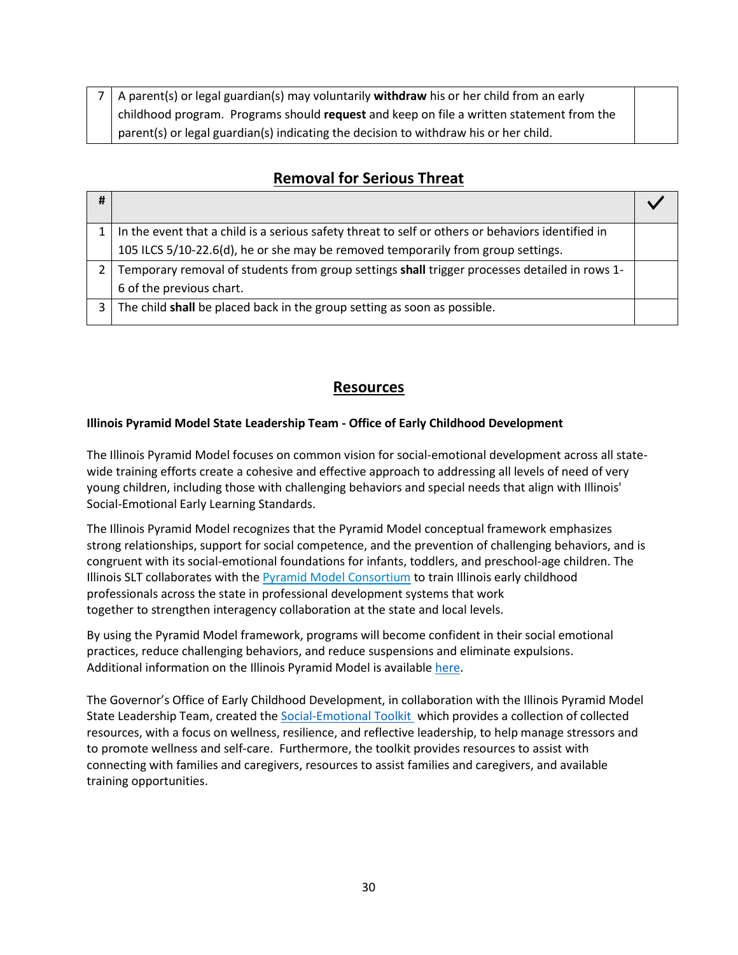| 7   A parent(s) or legal guardian(s) may voluntarily <b>withdraw</b> his or her child from an early |  |
|-----------------------------------------------------------------------------------------------------|--|
| childhood program. Programs should request and keep on file a written statement from the            |  |
| parent(s) or legal guardian(s) indicating the decision to withdraw his or her child.                |  |

### **Removal for Serious Threat**

| #              |                                                                                                   |  |
|----------------|---------------------------------------------------------------------------------------------------|--|
|                | In the event that a child is a serious safety threat to self or others or behaviors identified in |  |
|                | 105 ILCS 5/10-22.6(d), he or she may be removed temporarily from group settings.                  |  |
|                | Temporary removal of students from group settings shall trigger processes detailed in rows 1-     |  |
|                | 6 of the previous chart.                                                                          |  |
| 3 <sup>1</sup> | The child shall be placed back in the group setting as soon as possible.                          |  |
|                |                                                                                                   |  |

### **Resources**

#### **Illinois Pyramid Model State Leadership Team - Office of Early Childhood Development**

The Illinois Pyramid Model focuses on common vision for social-emotional development across all statewide training efforts create a cohesive and effective approach to addressing all levels of need of very young children, including those with challenging behaviors and special needs that align with Illinois' Social-Emotional Early Learning Standards.

The Illinois Pyramid Model recognizes that the Pyramid Model conceptual framework emphasizes strong relationships, support for social competence, and the prevention of challenging behaviors, and is congruent with its social-emotional foundations for infants, toddlers, and preschool-age children. The Illinois SLT collaborates with the [Pyramid Model Consortium](http://www.pyramidmodel.org/) to train Illinois early childhood professionals across the state in professional development systems that work together to strengthen interagency collaboration at the state and local levels.

By using the Pyramid Model framework, programs will become confident in their social emotional practices, reduce challenging behaviors, and reduce suspensions and eliminate expulsions. Additional information on the Illinois Pyramid Model is available [here.](https://www2.illinois.gov/sites/OECD/Pages/Pyramid-Model.aspx)

The Governor's Office of Early Childhood Development, in collaboration with the Illinois Pyramid Model State Leadership Team, created the [Social-Emotional Toolkit](https://isbe-my.sharepoint.com/personal/kbarnes_isbe_net/Documents/Attachments/Provider%20-%20SE%20Toolkit_06.01.20%20doc.pdf%20(illinois.gov)) which provides a collection of collected resources, with a focus on wellness, resilience, and reflective leadership, to help manage stressors and to promote wellness and self-care. Furthermore, the toolkit provides resources to assist with connecting with families and caregivers, resources to assist families and caregivers, and available training opportunities.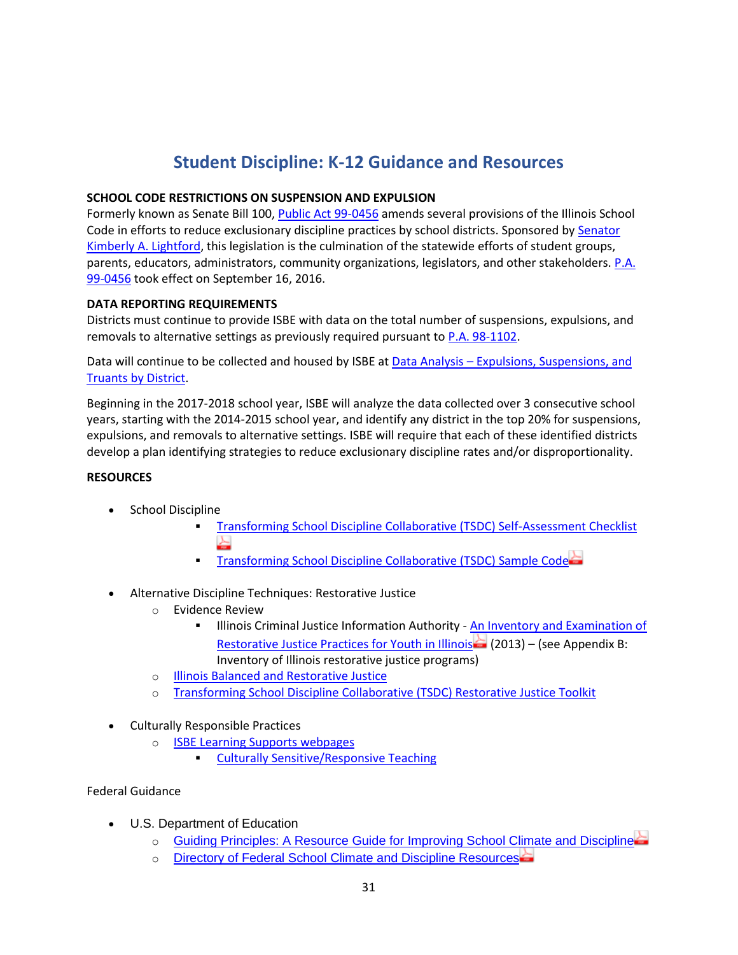# **Student Discipline: K-12 Guidance and Resources**

#### <span id="page-31-0"></span>**SCHOOL CODE RESTRICTIONS ON SUSPENSION AND EXPULSION**

Formerly known as Senate Bill 100, [Public Act 99-0456](http://www.ilga.gov/legislation/publicacts/fulltext.asp?Name=099-0456) amends several provisions of the Illinois School Code in efforts to reduce exclusionary discipline practices by school districts. Sponsored by [Senator](http://www.ilga.gov/senate/senator.asp?GA=99&MemberID=2100)  [Kimberly A. Lightford,](http://www.ilga.gov/senate/senator.asp?GA=99&MemberID=2100) this legislation is the culmination of the statewide efforts of student groups, parents, educators, administrators, community organizations, legislators, and other stakeholders. [P.A.](http://www.ilga.gov/legislation/publicacts/fulltext.asp?Name=099-0456)  [99-0456](http://www.ilga.gov/legislation/publicacts/fulltext.asp?Name=099-0456) took effect on September 16, 2016.

#### **DATA REPORTING REQUIREMENTS**

Districts must continue to provide ISBE with data on the total number of suspensions, expulsions, and removals to alternative settings as previously required pursuant to [P.A. 98-1102.](http://www.ilga.gov/legislation/publicacts/fulltext.asp?Name=098-1102)

Data will continue to be collected and housed by ISBE at Data Analysis – [Expulsions, Suspensions, and](https://www.isbe.net/Pages/Expulsions-Suspensions-and-Truants-by-District.aspx)  [Truants by District.](https://www.isbe.net/Pages/Expulsions-Suspensions-and-Truants-by-District.aspx)

Beginning in the 2017-2018 school year, ISBE will analyze the data collected over 3 consecutive school years, starting with the 2014-2015 school year, and identify any district in the top 20% for suspensions, expulsions, and removals to alternative settings. ISBE will require that each of these identified districts develop a plan identifying strategies to reduce exclusionary discipline rates and/or disproportionality.

#### **RESOURCES**

- School Discipline
	- [Transforming School Discipline Collaborative \(TSDC\) Self-Assessment Checklist](https://www.isbe.net/documents/tsdc-pa99-0456-checklist.pdf)
	- **[Transforming School Discipline Collaborative \(TSDC\) Sample Code](https://www.isbe.net/documents/tsdc-model-code-conduct.pdf)**
- Alternative Discipline Techniques: Restorative Justice
	- o Evidence Review
		- **EXECT** Illinois Criminal Justice Information Authority An Inventory and Examination of [Restorative Justice Practices for Youth in Illinois](http://www.icjia.state.il.us/assets/pdf/ResearchReports/InventoryandExaminationofRestorativeJusticePracticesforYouthIllinois_042013.pdf)  $(2013)$  – (see Appendix B: Inventory of Illinois restorative justice programs)
	- o [Illinois Balanced and Restorative Justice](http://www.ibarj.org/)
	- o [Transforming School Discipline Collaborative \(TSDC\) Restorative Justice Toolkit](https://www.transformschooldiscipline.org/tsdc-toolkit)
- Culturally Responsible Practices
	- o [ISBE Learning Supports webpages](https://www.isbe.net/Pages/Learning-Supports.aspx)
		- **Example 25 [Culturally Sensitive/Responsive Teaching](https://www.isbe.net/Pages/Culturally-Sensitive-and-Responsive-Teaching.aspx)**

#### Federal Guidance

- U.S. Department of Education
	- o [Guiding Principles: A Resource Guide for Improving School Climate and Discipline](http://www2.ed.gov/policy/gen/guid/school-discipline/guiding-principles.pdf)
	- o [Directory of Federal School Climate and Discipline Resources](http://www2.ed.gov/policy/gen/guid/school-discipline/appendix-1-directory.pdf)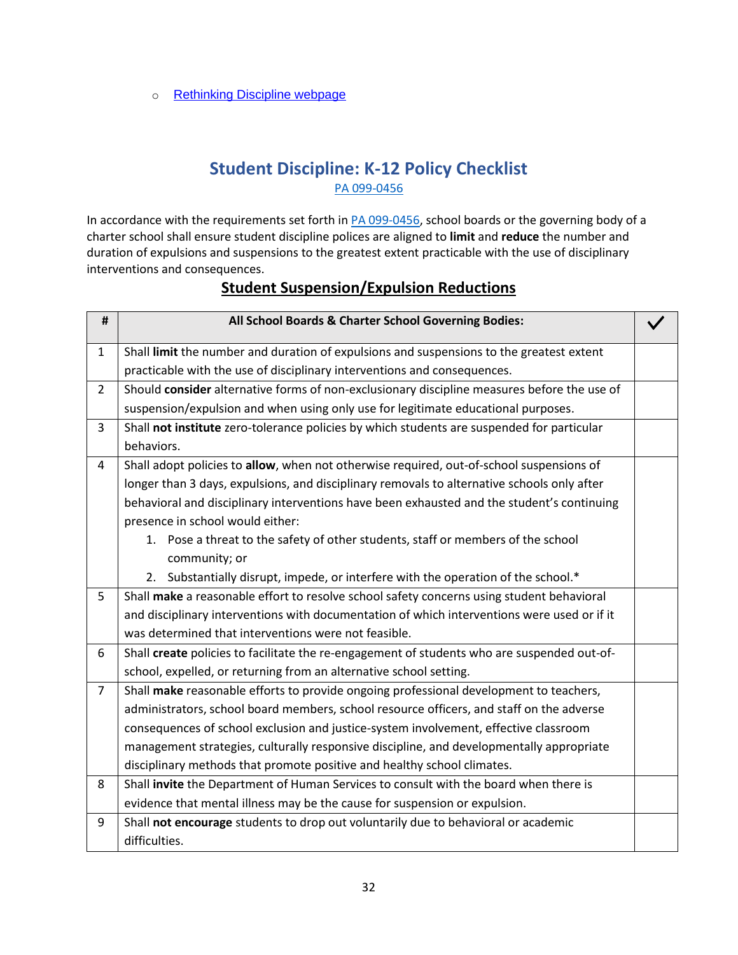o [Rethinking Discipline webpage](http://www2.ed.gov/policy/gen/guid/school-discipline/index.html)

### **Student Discipline: K-12 Policy Checklist** [PA 099-0456](https://www.ilga.gov/legislation/publicacts/fulltext.asp?Name=099-0456)

<span id="page-32-0"></span>In accordance with the requirements set forth in [PA 099-0456,](https://www.ilga.gov/legislation/publicacts/fulltext.asp?Name=099-0456) school boards or the governing body of a charter school shall ensure student discipline polices are aligned to **limit** and **reduce** the number and duration of expulsions and suspensions to the greatest extent practicable with the use of disciplinary interventions and consequences.

| #              | All School Boards & Charter School Governing Bodies:                                        |  |
|----------------|---------------------------------------------------------------------------------------------|--|
| $\mathbf{1}$   | Shall limit the number and duration of expulsions and suspensions to the greatest extent    |  |
|                | practicable with the use of disciplinary interventions and consequences.                    |  |
| $\overline{2}$ | Should consider alternative forms of non-exclusionary discipline measures before the use of |  |
|                | suspension/expulsion and when using only use for legitimate educational purposes.           |  |
| $\overline{3}$ | Shall not institute zero-tolerance policies by which students are suspended for particular  |  |
|                | behaviors.                                                                                  |  |
| 4              | Shall adopt policies to allow, when not otherwise required, out-of-school suspensions of    |  |
|                | longer than 3 days, expulsions, and disciplinary removals to alternative schools only after |  |
|                | behavioral and disciplinary interventions have been exhausted and the student's continuing  |  |
|                | presence in school would either:                                                            |  |
|                | 1. Pose a threat to the safety of other students, staff or members of the school            |  |
|                | community; or                                                                               |  |
|                | 2. Substantially disrupt, impede, or interfere with the operation of the school.*           |  |
| 5              | Shall make a reasonable effort to resolve school safety concerns using student behavioral   |  |
|                | and disciplinary interventions with documentation of which interventions were used or if it |  |
|                | was determined that interventions were not feasible.                                        |  |
| 6              | Shall create policies to facilitate the re-engagement of students who are suspended out-of- |  |
|                | school, expelled, or returning from an alternative school setting.                          |  |
| $\overline{7}$ | Shall make reasonable efforts to provide ongoing professional development to teachers,      |  |
|                | administrators, school board members, school resource officers, and staff on the adverse    |  |
|                | consequences of school exclusion and justice-system involvement, effective classroom        |  |
|                | management strategies, culturally responsive discipline, and developmentally appropriate    |  |
|                | disciplinary methods that promote positive and healthy school climates.                     |  |
| 8              | Shall invite the Department of Human Services to consult with the board when there is       |  |
|                | evidence that mental illness may be the cause for suspension or expulsion.                  |  |
| 9              | Shall not encourage students to drop out voluntarily due to behavioral or academic          |  |
|                | difficulties.                                                                               |  |

### **Student Suspension/Expulsion Reductions**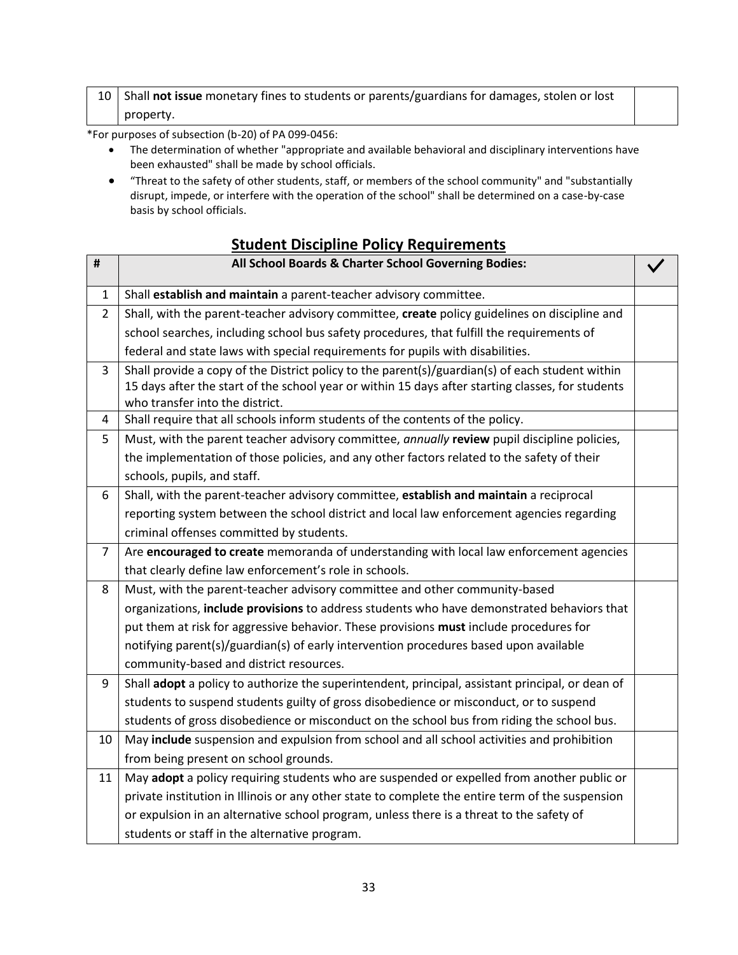#### 10 Shall **not issue** monetary fines to students or parents/guardians for damages, stolen or lost property.

\*For purposes of subsection (b-20) of PA 099-0456:

- The determination of whether "appropriate and available behavioral and disciplinary interventions have been exhausted" shall be made by school officials.
- "Threat to the safety of other students, staff, or members of the school community" and "substantially disrupt, impede, or interfere with the operation of the school" shall be determined on a case-by-case basis by school officials.

#### **Student Discipline Policy Requirements**

| #              | All School Boards & Charter School Governing Bodies:                                              |  |
|----------------|---------------------------------------------------------------------------------------------------|--|
| $\mathbf{1}$   | Shall establish and maintain a parent-teacher advisory committee.                                 |  |
| $\overline{2}$ | Shall, with the parent-teacher advisory committee, create policy guidelines on discipline and     |  |
|                | school searches, including school bus safety procedures, that fulfill the requirements of         |  |
|                | federal and state laws with special requirements for pupils with disabilities.                    |  |
| 3              | Shall provide a copy of the District policy to the parent(s)/guardian(s) of each student within   |  |
|                | 15 days after the start of the school year or within 15 days after starting classes, for students |  |
|                | who transfer into the district.                                                                   |  |
| 4              | Shall require that all schools inform students of the contents of the policy.                     |  |
| 5              | Must, with the parent teacher advisory committee, annually review pupil discipline policies,      |  |
|                | the implementation of those policies, and any other factors related to the safety of their        |  |
|                | schools, pupils, and staff.                                                                       |  |
| 6              | Shall, with the parent-teacher advisory committee, establish and maintain a reciprocal            |  |
|                | reporting system between the school district and local law enforcement agencies regarding         |  |
|                | criminal offenses committed by students.                                                          |  |
| $\overline{7}$ | Are encouraged to create memoranda of understanding with local law enforcement agencies           |  |
|                | that clearly define law enforcement's role in schools.                                            |  |
| 8              | Must, with the parent-teacher advisory committee and other community-based                        |  |
|                | organizations, include provisions to address students who have demonstrated behaviors that        |  |
|                | put them at risk for aggressive behavior. These provisions must include procedures for            |  |
|                | notifying parent(s)/guardian(s) of early intervention procedures based upon available             |  |
|                | community-based and district resources.                                                           |  |
| 9              | Shall adopt a policy to authorize the superintendent, principal, assistant principal, or dean of  |  |
|                | students to suspend students guilty of gross disobedience or misconduct, or to suspend            |  |
|                | students of gross disobedience or misconduct on the school bus from riding the school bus.        |  |
| 10             | May include suspension and expulsion from school and all school activities and prohibition        |  |
|                | from being present on school grounds.                                                             |  |
| 11             | May adopt a policy requiring students who are suspended or expelled from another public or        |  |
|                | private institution in Illinois or any other state to complete the entire term of the suspension  |  |
|                | or expulsion in an alternative school program, unless there is a threat to the safety of          |  |
|                | students or staff in the alternative program.                                                     |  |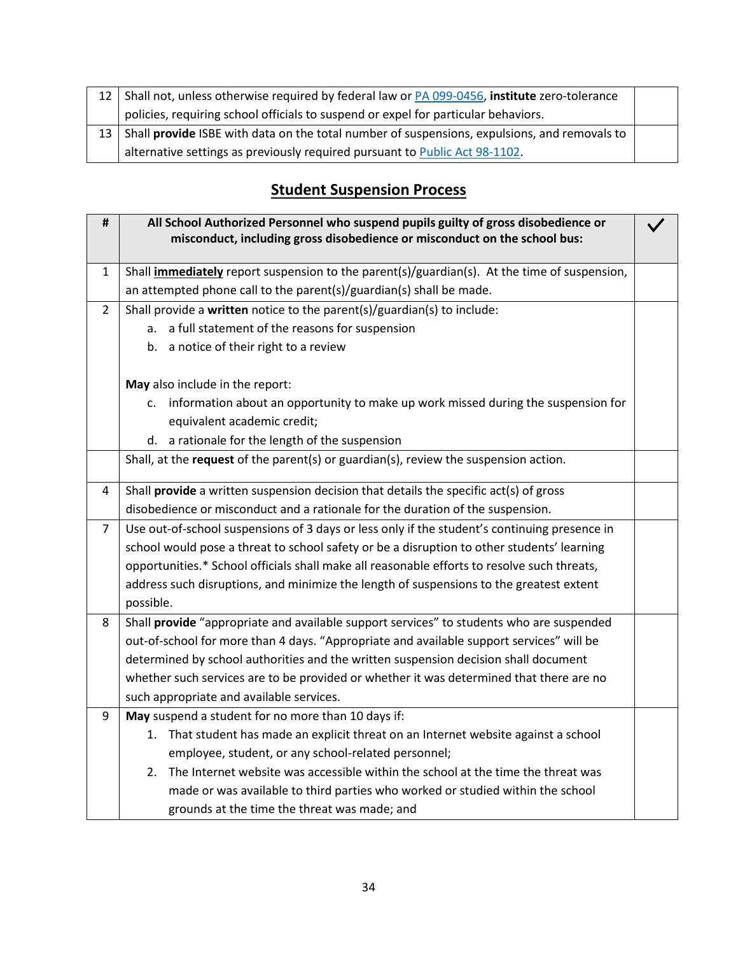| 12 <sub>1</sub> | Shall not, unless otherwise required by federal law or PA 099-0456, institute zero-tolerance |  |
|-----------------|----------------------------------------------------------------------------------------------|--|
|                 | policies, requiring school officials to suspend or expel for particular behaviors.           |  |
| 13 I            | Shall provide ISBE with data on the total number of suspensions, expulsions, and removals to |  |
|                 | alternative settings as previously required pursuant to Public Act 98-1102.                  |  |

# **Student Suspension Process**

| $\pmb{\sharp}$ | All School Authorized Personnel who suspend pupils guilty of gross disobedience or<br>misconduct, including gross disobedience or misconduct on the school bus: |  |
|----------------|-----------------------------------------------------------------------------------------------------------------------------------------------------------------|--|
| 1              | Shall <i>immediately</i> report suspension to the parent(s)/guardian(s). At the time of suspension,                                                             |  |
|                | an attempted phone call to the parent(s)/guardian(s) shall be made.                                                                                             |  |
| 2              | Shall provide a written notice to the parent(s)/guardian(s) to include:                                                                                         |  |
|                | a full statement of the reasons for suspension<br>$a_{-}$                                                                                                       |  |
|                | b. a notice of their right to a review                                                                                                                          |  |
|                | May also include in the report:                                                                                                                                 |  |
|                | c. information about an opportunity to make up work missed during the suspension for                                                                            |  |
|                | equivalent academic credit;                                                                                                                                     |  |
|                | d. a rationale for the length of the suspension                                                                                                                 |  |
|                | Shall, at the request of the parent(s) or guardian(s), review the suspension action.                                                                            |  |
| 4              | Shall provide a written suspension decision that details the specific act(s) of gross                                                                           |  |
|                | disobedience or misconduct and a rationale for the duration of the suspension.                                                                                  |  |
| $\overline{7}$ | Use out-of-school suspensions of 3 days or less only if the student's continuing presence in                                                                    |  |
|                | school would pose a threat to school safety or be a disruption to other students' learning                                                                      |  |
|                | opportunities.* School officials shall make all reasonable efforts to resolve such threats,                                                                     |  |
|                | address such disruptions, and minimize the length of suspensions to the greatest extent                                                                         |  |
|                | possible.<br>Shall provide "appropriate and available support services" to students who are suspended                                                           |  |
| 8              |                                                                                                                                                                 |  |
|                | out-of-school for more than 4 days. "Appropriate and available support services" will be                                                                        |  |
|                | determined by school authorities and the written suspension decision shall document                                                                             |  |
|                | whether such services are to be provided or whether it was determined that there are no                                                                         |  |
|                | such appropriate and available services.                                                                                                                        |  |
| 9              | May suspend a student for no more than 10 days if:                                                                                                              |  |
|                | 1. That student has made an explicit threat on an Internet website against a school                                                                             |  |
|                | employee, student, or any school-related personnel;                                                                                                             |  |
|                | The Internet website was accessible within the school at the time the threat was<br>2.                                                                          |  |
|                | made or was available to third parties who worked or studied within the school                                                                                  |  |
|                | grounds at the time the threat was made; and                                                                                                                    |  |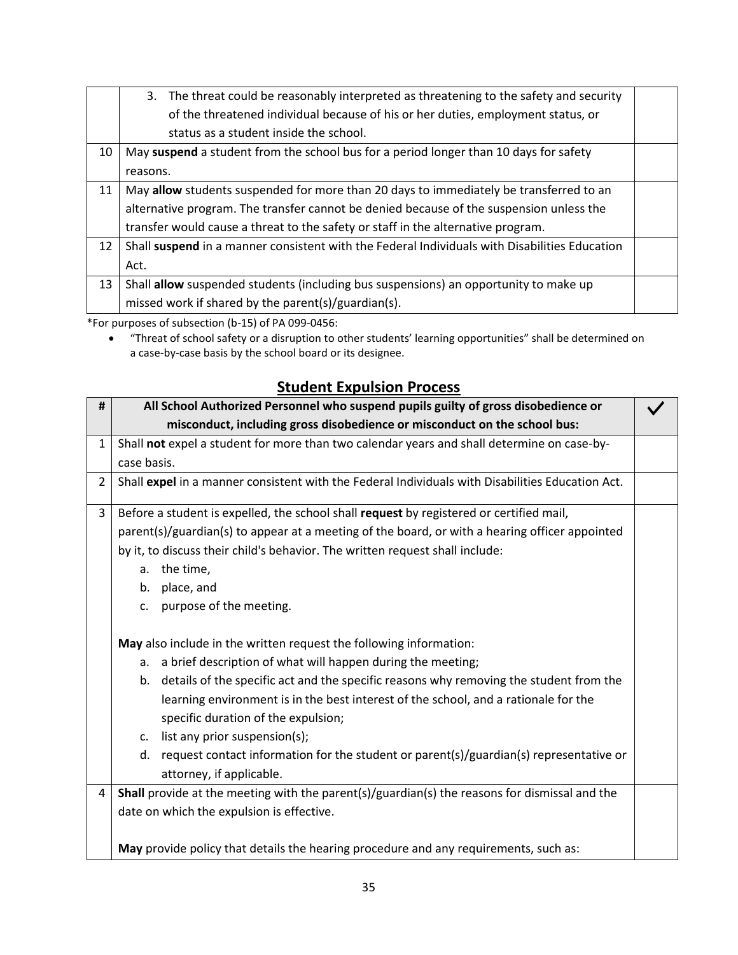|    | 3. The threat could be reasonably interpreted as threatening to the safety and security       |  |
|----|-----------------------------------------------------------------------------------------------|--|
|    | of the threatened individual because of his or her duties, employment status, or              |  |
|    | status as a student inside the school.                                                        |  |
| 10 | May suspend a student from the school bus for a period longer than 10 days for safety         |  |
|    | reasons.                                                                                      |  |
| 11 | May allow students suspended for more than 20 days to immediately be transferred to an        |  |
|    | alternative program. The transfer cannot be denied because of the suspension unless the       |  |
|    | transfer would cause a threat to the safety or staff in the alternative program.              |  |
| 12 | Shall suspend in a manner consistent with the Federal Individuals with Disabilities Education |  |
|    | Act.                                                                                          |  |
| 13 | Shall allow suspended students (including bus suspensions) an opportunity to make up          |  |
|    | missed work if shared by the parent(s)/guardian(s).                                           |  |

\*For purposes of subsection (b-15) of PA 099-0456:

• "Threat of school safety or a disruption to other students' learning opportunities" shall be determined on a case-by-case basis by the school board or its designee.

### **Student Expulsion Process**

| #              | All School Authorized Personnel who suspend pupils guilty of gross disobedience or               |  |
|----------------|--------------------------------------------------------------------------------------------------|--|
|                | misconduct, including gross disobedience or misconduct on the school bus:                        |  |
| $\mathbf{1}$   | Shall not expel a student for more than two calendar years and shall determine on case-by-       |  |
|                | case basis.                                                                                      |  |
| $\overline{2}$ | Shall expel in a manner consistent with the Federal Individuals with Disabilities Education Act. |  |
| $\overline{3}$ | Before a student is expelled, the school shall request by registered or certified mail,          |  |
|                | parent(s)/guardian(s) to appear at a meeting of the board, or with a hearing officer appointed   |  |
|                | by it, to discuss their child's behavior. The written request shall include:                     |  |
|                | a. the time,                                                                                     |  |
|                | b. place, and                                                                                    |  |
|                | c. purpose of the meeting.                                                                       |  |
|                |                                                                                                  |  |
|                | May also include in the written request the following information:                               |  |
|                | a. a brief description of what will happen during the meeting;                                   |  |
|                | b. details of the specific act and the specific reasons why removing the student from the        |  |
|                | learning environment is in the best interest of the school, and a rationale for the              |  |
|                | specific duration of the expulsion;                                                              |  |
|                | c. list any prior suspension(s);                                                                 |  |
|                | d. request contact information for the student or parent(s)/guardian(s) representative or        |  |
|                | attorney, if applicable.                                                                         |  |
| 4              | Shall provide at the meeting with the parent(s)/guardian(s) the reasons for dismissal and the    |  |
|                | date on which the expulsion is effective.                                                        |  |
|                |                                                                                                  |  |
|                | May provide policy that details the hearing procedure and any requirements, such as:             |  |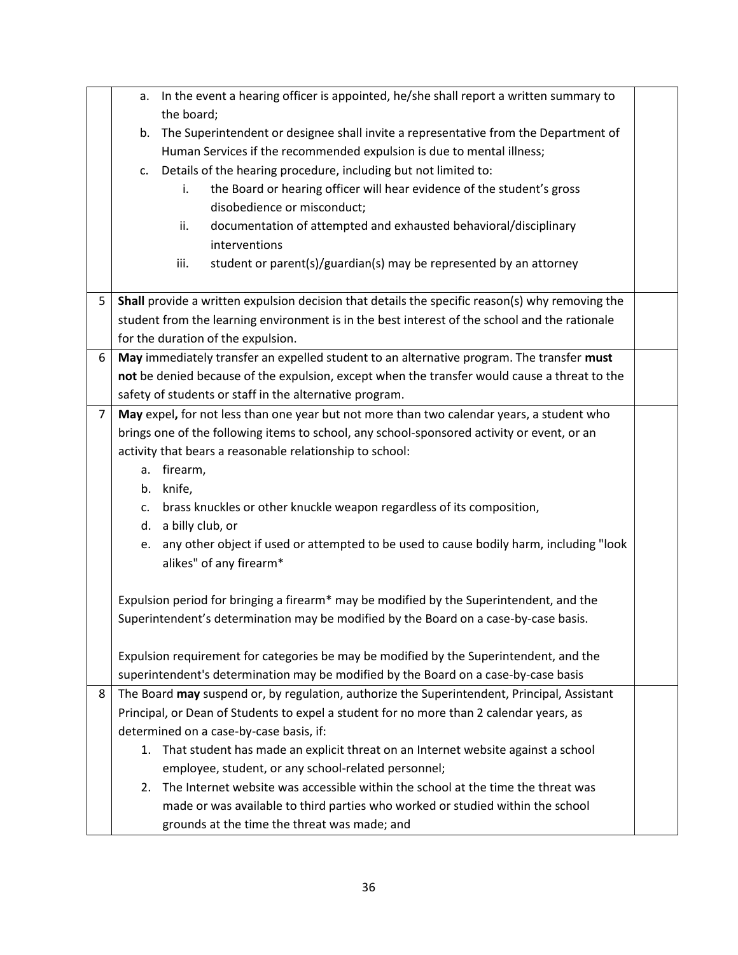|   | a. In the event a hearing officer is appointed, he/she shall report a written summary to        |  |  |  |  |
|---|-------------------------------------------------------------------------------------------------|--|--|--|--|
|   | the board;                                                                                      |  |  |  |  |
|   | The Superintendent or designee shall invite a representative from the Department of<br>b.       |  |  |  |  |
|   | Human Services if the recommended expulsion is due to mental illness;                           |  |  |  |  |
|   | c. Details of the hearing procedure, including but not limited to:                              |  |  |  |  |
|   | the Board or hearing officer will hear evidence of the student's gross<br>i.                    |  |  |  |  |
|   | disobedience or misconduct;                                                                     |  |  |  |  |
|   | documentation of attempted and exhausted behavioral/disciplinary<br>ii.                         |  |  |  |  |
|   | interventions                                                                                   |  |  |  |  |
|   | student or parent(s)/guardian(s) may be represented by an attorney<br>iii.                      |  |  |  |  |
|   |                                                                                                 |  |  |  |  |
| 5 | Shall provide a written expulsion decision that details the specific reason(s) why removing the |  |  |  |  |
|   | student from the learning environment is in the best interest of the school and the rationale   |  |  |  |  |
|   | for the duration of the expulsion.                                                              |  |  |  |  |
| 6 | May immediately transfer an expelled student to an alternative program. The transfer must       |  |  |  |  |
|   | not be denied because of the expulsion, except when the transfer would cause a threat to the    |  |  |  |  |
|   | safety of students or staff in the alternative program.                                         |  |  |  |  |
| 7 | May expel, for not less than one year but not more than two calendar years, a student who       |  |  |  |  |
|   | brings one of the following items to school, any school-sponsored activity or event, or an      |  |  |  |  |
|   | activity that bears a reasonable relationship to school:                                        |  |  |  |  |
|   | a. firearm,                                                                                     |  |  |  |  |
|   | b. knife,                                                                                       |  |  |  |  |
|   | brass knuckles or other knuckle weapon regardless of its composition,<br>C.                     |  |  |  |  |
|   | d. a billy club, or                                                                             |  |  |  |  |
|   | any other object if used or attempted to be used to cause bodily harm, including "look<br>e.    |  |  |  |  |
|   | alikes" of any firearm*                                                                         |  |  |  |  |
|   |                                                                                                 |  |  |  |  |
|   | Expulsion period for bringing a firearm* may be modified by the Superintendent, and the         |  |  |  |  |
|   | Superintendent's determination may be modified by the Board on a case-by-case basis.            |  |  |  |  |
|   |                                                                                                 |  |  |  |  |
|   | Expulsion requirement for categories be may be modified by the Superintendent, and the          |  |  |  |  |
|   | superintendent's determination may be modified by the Board on a case-by-case basis             |  |  |  |  |
| 8 | The Board may suspend or, by regulation, authorize the Superintendent, Principal, Assistant     |  |  |  |  |
|   | Principal, or Dean of Students to expel a student for no more than 2 calendar years, as         |  |  |  |  |
|   | determined on a case-by-case basis, if:                                                         |  |  |  |  |
|   | 1. That student has made an explicit threat on an Internet website against a school             |  |  |  |  |
|   | employee, student, or any school-related personnel;                                             |  |  |  |  |
|   | 2. The Internet website was accessible within the school at the time the threat was             |  |  |  |  |
|   | made or was available to third parties who worked or studied within the school                  |  |  |  |  |
|   | grounds at the time the threat was made; and                                                    |  |  |  |  |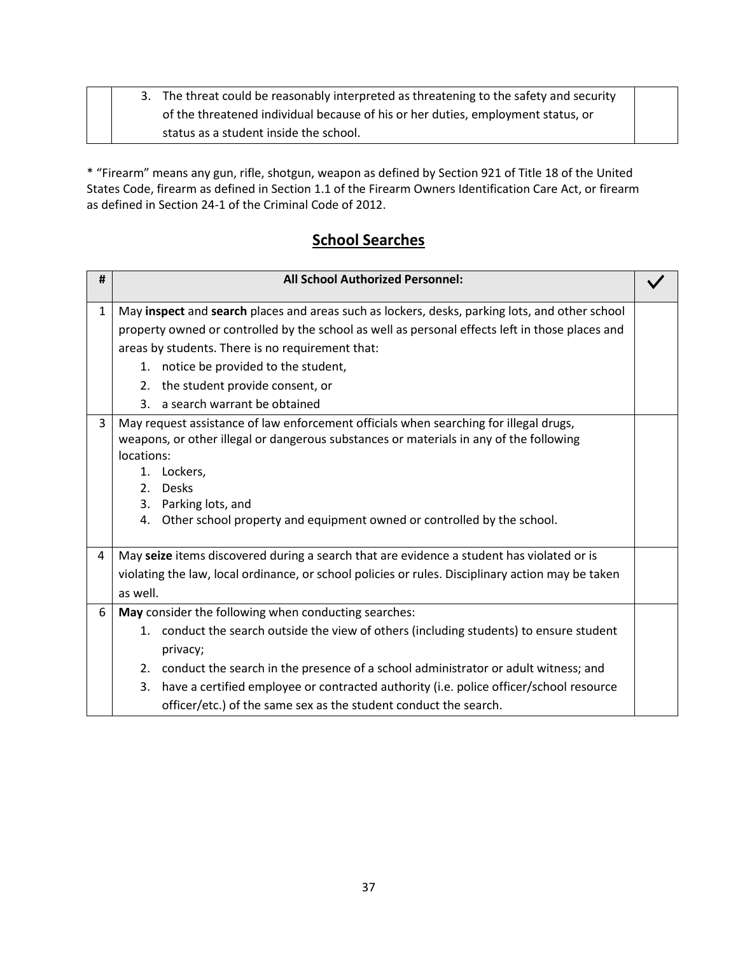|  | 3. The threat could be reasonably interpreted as threatening to the safety and security |  |
|--|-----------------------------------------------------------------------------------------|--|
|  | of the threatened individual because of his or her duties, employment status, or        |  |
|  | status as a student inside the school.                                                  |  |

\* "Firearm" means any gun, rifle, shotgun, weapon as defined by Section 921 of Title 18 of the United States Code, firearm as defined in Section 1.1 of the Firearm Owners Identification Care Act, or firearm as defined in Section 24-1 of the Criminal Code of 2012.

### **School Searches**

| #            | <b>All School Authorized Personnel:</b>                                                                                                                                                                                                                                                                                       |  |
|--------------|-------------------------------------------------------------------------------------------------------------------------------------------------------------------------------------------------------------------------------------------------------------------------------------------------------------------------------|--|
| $\mathbf{1}$ | May inspect and search places and areas such as lockers, desks, parking lots, and other school                                                                                                                                                                                                                                |  |
|              | property owned or controlled by the school as well as personal effects left in those places and                                                                                                                                                                                                                               |  |
|              | areas by students. There is no requirement that:                                                                                                                                                                                                                                                                              |  |
|              | 1. notice be provided to the student,                                                                                                                                                                                                                                                                                         |  |
|              | 2. the student provide consent, or                                                                                                                                                                                                                                                                                            |  |
|              | 3. a search warrant be obtained                                                                                                                                                                                                                                                                                               |  |
| 3            | May request assistance of law enforcement officials when searching for illegal drugs,<br>weapons, or other illegal or dangerous substances or materials in any of the following<br>locations:<br>1. Lockers,<br>2. Desks<br>3. Parking lots, and<br>4. Other school property and equipment owned or controlled by the school. |  |
| 4            | May seize items discovered during a search that are evidence a student has violated or is                                                                                                                                                                                                                                     |  |
|              | violating the law, local ordinance, or school policies or rules. Disciplinary action may be taken<br>as well.                                                                                                                                                                                                                 |  |
| 6            | May consider the following when conducting searches:                                                                                                                                                                                                                                                                          |  |
|              | 1. conduct the search outside the view of others (including students) to ensure student<br>privacy;                                                                                                                                                                                                                           |  |
|              | 2. conduct the search in the presence of a school administrator or adult witness; and                                                                                                                                                                                                                                         |  |
|              | 3. have a certified employee or contracted authority (i.e. police officer/school resource                                                                                                                                                                                                                                     |  |
|              | officer/etc.) of the same sex as the student conduct the search.                                                                                                                                                                                                                                                              |  |